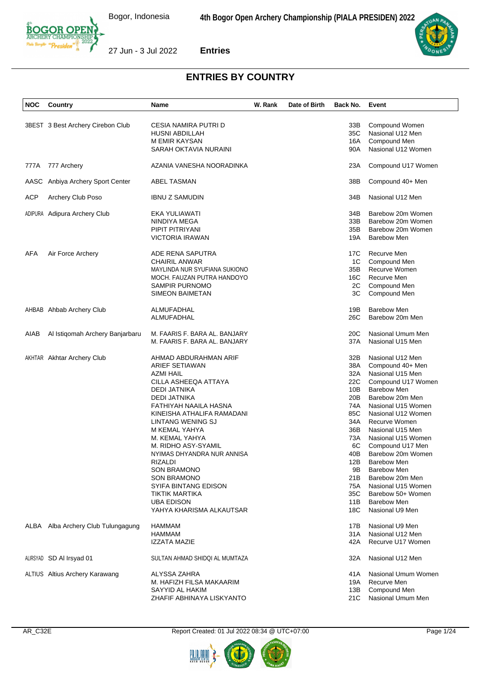

| NOC        | Country                           | Name                                          | W. Rank | Date of Birth | Back No.   | Event               |  |
|------------|-----------------------------------|-----------------------------------------------|---------|---------------|------------|---------------------|--|
|            |                                   |                                               |         |               |            |                     |  |
|            | 3BEST 3 Best Archery Cirebon Club | CESIA NAMIRA PUTRI D                          |         |               | 33B        | Compound Women      |  |
|            |                                   | HUSNI ABDILLAH                                |         |               | 35C        | Nasional U12 Men    |  |
|            |                                   | M EMIR KAYSAN                                 |         |               | 16A        | Compound Men        |  |
|            |                                   | SARAH OKTAVIA NURAINI                         |         |               | 90A        | Nasional U12 Women  |  |
|            |                                   |                                               |         |               |            |                     |  |
| 777A       | 777 Archery                       | AZANIA VANESHA NOORADINKA                     |         |               | 23A        | Compound U17 Women  |  |
|            | AASC Anbiya Archery Sport Center  | <b>ABEL TASMAN</b>                            |         |               | 38B        | Compound 40+ Men    |  |
| <b>ACP</b> | Archery Club Poso                 | <b>IBNU Z SAMUDIN</b>                         |         |               | 34B        | Nasional U12 Men    |  |
|            | ADIPURA Adipura Archery Club      | EKA YULIAWATI                                 |         |               | 34B        | Barebow 20m Women   |  |
|            |                                   | NINDIYA MEGA                                  |         |               | 33B        | Barebow 20m Women   |  |
|            |                                   | PIPIT PITRIYANI                               |         |               | 35B        | Barebow 20m Women   |  |
|            |                                   | <b>VICTORIA IRAWAN</b>                        |         |               | 19A        | <b>Barebow Men</b>  |  |
|            |                                   |                                               |         |               |            |                     |  |
| AFA        | Air Force Archery                 | ADE RENA SAPUTRA                              |         |               | 17C        | Recurve Men         |  |
|            |                                   | <b>CHAIRIL ANWAR</b>                          |         |               | 1C         | Compound Men        |  |
|            |                                   | MAYLINDA NUR SYUFIANA SUKIONO                 |         |               | 35B        | Recurve Women       |  |
|            |                                   | MOCH. FAUZAN PUTRA HANDOYO                    |         |               | 16C        | Recurve Men         |  |
|            |                                   | <b>SAMPIR PURNOMO</b>                         |         |               | 2C         | Compound Men        |  |
|            |                                   | <b>SIMEON BAIMETAN</b>                        |         |               | ЗC         | Compound Men        |  |
|            |                                   |                                               |         |               |            |                     |  |
|            | AHBAB Ahbab Archery Club          | ALMUFADHAL                                    |         |               | 19B        | <b>Barebow Men</b>  |  |
|            |                                   | ALMUFADHAL                                    |         |               | 26C        | Barebow 20m Men     |  |
| AIAB       | Al Istigomah Archery Banjarbaru   | M. FAARIS F. BARA AL. BANJARY                 |         |               | 20C        | Nasional Umum Men   |  |
|            |                                   | M. FAARIS F. BARA AL. BANJARY                 |         |               | 37A        | Nasional U15 Men    |  |
|            |                                   |                                               |         |               |            |                     |  |
|            | AKHTAR Akhtar Archery Club        | AHMAD ABDURAHMAN ARIF                         |         |               | 32B        | Nasional U12 Men    |  |
|            |                                   | <b>ARIEF SETIAWAN</b>                         |         |               | 38A        | Compound 40+ Men    |  |
|            |                                   | AZMI HAIL                                     |         |               | 32A        | Nasional U15 Men    |  |
|            |                                   | CILLA ASHEEQA ATTAYA                          |         |               | 22C        | Compound U17 Women  |  |
|            |                                   | DEDI JATNIKA                                  |         |               | 10B        | <b>Barebow Men</b>  |  |
|            |                                   | <b>DEDI JATNIKA</b>                           |         |               | 20B        | Barebow 20m Men     |  |
|            |                                   | FATHIYAH NAAILA HASNA                         |         |               | 74A        | Nasional U15 Women  |  |
|            |                                   | KINEISHA ATHALIFA RAMADANI                    |         |               | 85C        | Nasional U12 Women  |  |
|            |                                   | LINTANG WENING SJ                             |         |               | 34A        | Recurve Women       |  |
|            |                                   | M KEMAL YAHYA                                 |         |               | 36B        | Nasional U15 Men    |  |
|            |                                   | M. KEMAL YAHYA                                |         |               | 73A        | Nasional U15 Women  |  |
|            |                                   | M. RIDHO ASY-SYAMIL                           |         |               | 6C         | Compound U17 Men    |  |
|            |                                   | NYIMAS DHYANDRA NUR ANNISA                    |         |               | 40B        | Barebow 20m Women   |  |
|            |                                   | RIZALDI                                       |         |               | 12B        | Barebow Men         |  |
|            |                                   | <b>SON BRAMONO</b>                            |         |               | 9Β         | <b>Barebow Men</b>  |  |
|            |                                   | <b>SON BRAMONO</b>                            |         |               | 21B        | Barebow 20m Men     |  |
|            |                                   | <b>SYIFA BINTANG EDISON</b>                   |         |               | 75A        | Nasional U15 Women  |  |
|            |                                   | TIKTIK MARTIKA                                |         |               | 35C        | Barebow 50+ Women   |  |
|            |                                   |                                               |         |               |            | <b>Barebow Men</b>  |  |
|            |                                   | <b>UBA EDISON</b><br>YAHYA KHARISMA ALKAUTSAR |         |               | 11B<br>18C | Nasional U9 Men     |  |
|            |                                   |                                               |         |               |            |                     |  |
| ALBA       | Alba Archery Club Tulungagung     | HAMMAM                                        |         |               | 17B        | Nasional U9 Men     |  |
|            |                                   | <b>HAMMAM</b>                                 |         |               | 31A        | Nasional U12 Men    |  |
|            |                                   | IZZATA MAZIE                                  |         |               | 42A        | Recurve U17 Women   |  |
|            |                                   |                                               |         |               |            |                     |  |
|            | ALIRSYAD SD AI Irsyad 01          | SULTAN AHMAD SHIDQI AL MUMTAZA                |         |               | 32A        | Nasional U12 Men    |  |
|            | ALTIUS Altius Archery Karawang    | ALYSSA ZAHRA                                  |         |               | 41A        | Nasional Umum Women |  |
|            |                                   | M. HAFIZH FILSA MAKAARIM                      |         |               | 19A        | Recurve Men         |  |
|            |                                   | SAYYID AL HAKIM                               |         |               | 13B        | Compound Men        |  |
|            |                                   | ZHAFIF ABHINAYA LISKYANTO                     |         |               | 21C        | Nasional Umum Men   |  |
|            |                                   |                                               |         |               |            |                     |  |





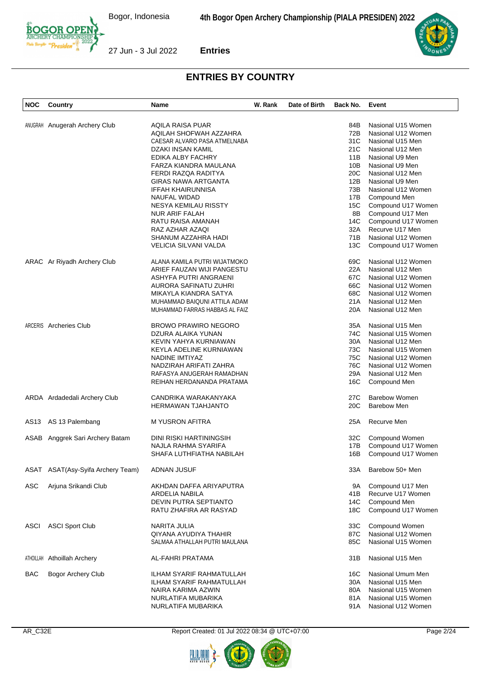

| <b>NOC</b>  | Country                         | Name                           | W. Rank | Date of Birth | Back No. | Event                |
|-------------|---------------------------------|--------------------------------|---------|---------------|----------|----------------------|
|             |                                 |                                |         |               |          |                      |
|             | ANUGRAH Anugerah Archery Club   | AQILA RAISA PUAR               |         |               | 84B      | Nasional U15 Women   |
|             |                                 | AQILAH SHOFWAH AZZAHRA         |         |               | 72B      | Nasional U12 Women   |
|             |                                 | CAESAR ALVARO PASA ATMELNABA   |         |               | 31C      | Nasional U15 Men     |
|             |                                 | DZAKI INSAN KAMIL              |         |               | 21C      | Nasional U12 Men     |
|             |                                 | EDIKA ALBY FACHRY              |         |               | 11B      | Nasional U9 Men      |
|             |                                 | FARZA KIANDRA MAULANA          |         |               | 10B      | Nasional U9 Men      |
|             |                                 | FERDI RAZQA RADITYA            |         |               | 20C      | Nasional U12 Men     |
|             |                                 | <b>GIRAS NAWA ARTGANTA</b>     |         |               | 12B      | Nasional U9 Men      |
|             |                                 | IFFAH KHAIRUNNISA              |         |               | 73B      | Nasional U12 Women   |
|             |                                 | NAUFAL WIDAD                   |         |               | 17B      | Compound Men         |
|             |                                 | NESYA KEMILAU RISSTY           |         |               | 15C      | Compound U17 Women   |
|             |                                 |                                |         |               | 8B       | Compound U17 Men     |
|             |                                 | NUR ARIF FALAH                 |         |               |          |                      |
|             |                                 | RATU RAISA AMANAH              |         |               | 14C      | Compound U17 Women   |
|             |                                 | RAZ AZHAR AZAQI                |         |               | 32A      | Recurve U17 Men      |
|             |                                 | SHANUM AZZAHRA HADI            |         |               | 71B      | Nasional U12 Women   |
|             |                                 | VELICIA SILVANI VALDA          |         |               | 13C      | Compound U17 Women   |
|             | ARAC Ar Riyadh Archery Club     | ALANA KAMILA PUTRI WIJATMOKO   |         |               | 69C      | Nasional U12 Women   |
|             |                                 | ARIEF FAUZAN WIJI PANGESTU     |         |               | 22A      | Nasional U12 Men     |
|             |                                 | ASHYFA PUTRI ANGRAENI          |         |               | 67C      | Nasional U12 Women   |
|             |                                 | AURORA SAFINATU ZUHRI          |         |               | 66C      | Nasional U12 Women   |
|             |                                 | MIKAYLA KIANDRA SATYA          |         |               | 68C      | Nasional U12 Women   |
|             |                                 | MUHAMMAD BAIQUNI ATTILA ADAM   |         |               | 21A      | Nasional U12 Men     |
|             |                                 | MUHAMMAD FARRAS HABBAS AL FAIZ |         |               | 20A      | Nasional U12 Men     |
|             |                                 |                                |         |               |          |                      |
|             | ARCERIS Archeries Club          | <b>BROWO PRAWIRO NEGORO</b>    |         |               | 35A      | Nasional U15 Men     |
|             |                                 | DZURA ALAIKA YUNAN             |         |               | 74C      | Nasional U15 Women   |
|             |                                 | KEVIN YAHYA KURNIAWAN          |         |               | 30A      | Nasional U12 Men     |
|             |                                 | KEYLA ADELINE KURNIAWAN        |         |               | 73C      | Nasional U15 Women   |
|             |                                 | NADINE IMTIYAZ                 |         |               | 75C      | Nasional U12 Women   |
|             |                                 | NADZIRAH ARIFATI ZAHRA         |         |               | 76C      | Nasional U12 Women   |
|             |                                 |                                |         |               |          |                      |
|             |                                 | RAFASYA ANUGERAH RAMADHAN      |         |               | 29A      | Nasional U12 Men     |
|             |                                 | REIHAN HERDANANDA PRATAMA      |         |               | 16C      | Compound Men         |
|             | ARDA Ardadedali Archery Club    | CANDRIKA WARAKANYAKA           |         |               | 27C      | <b>Barebow Women</b> |
|             |                                 | <b>HERMAWAN TJAHJANTO</b>      |         |               | 20C      | <b>Barebow Men</b>   |
|             | AS13 AS 13 Palembang            | M YUSRON AFITRA                |         |               | 25A      | Recurve Men          |
|             |                                 |                                |         |               |          |                      |
|             | ASAB Anggrek Sari Archery Batam | DINI RISKI HARTININGSIH        |         |               | 32C      | Compound Women       |
|             |                                 | NAJLA RAHMA SYARIFA            |         |               | 17B      | Compound U17 Women   |
|             |                                 | SHAFA LUTHFIATHA NABILAH       |         |               | 16B      | Compound U17 Women   |
| ASAT        | ASAT(Asy-Syifa Archery Team)    | ADNAN JUSUF                    |         |               | 33A      | Barebow 50+ Men      |
| ASC         | Arjuna Srikandi Club            | AKHDAN DAFFA ARIYAPUTRA        |         |               | 9A       | Compound U17 Men     |
|             |                                 | ARDELIA NABILA                 |         |               | 41B      | Recurve U17 Women    |
|             |                                 | <b>DEVIN PUTRA SEPTIANTO</b>   |         |               | 14C      | Compound Men         |
|             |                                 | RATU ZHAFIRA AR RASYAD         |         |               | 18C      | Compound U17 Women   |
|             |                                 |                                |         |               |          |                      |
| <b>ASCI</b> | <b>ASCI Sport Club</b>          | NARITA JULIA                   |         |               | 33C      | Compound Women       |
|             |                                 | QIYANA AYUDIYA THAHIR          |         |               | 87C      | Nasional U12 Women   |
|             |                                 | SALMAA ATHALLAH PUTRI MAULANA  |         |               | 85C      | Nasional U15 Women   |
| ATHOILLAH   | <b>Athoillah Archery</b>        | AL-FAHRI PRATAMA               |         |               | 31B      | Nasional U15 Men     |
|             |                                 |                                |         |               |          |                      |
| <b>BAC</b>  | <b>Bogor Archery Club</b>       | ILHAM SYARIF RAHMATULLAH       |         |               | 16C      | Nasional Umum Men    |
|             |                                 | ILHAM SYARIF RAHMATULLAH       |         |               | 30A      | Nasional U15 Men     |
|             |                                 | NAIRA KARIMA AZWIN             |         |               | 80A      | Nasional U15 Women   |
|             |                                 | NURLATIFA MUBARIKA             |         |               | 81A      | Nasional U15 Women   |
|             |                                 | NURLATIFA MUBARIKA             |         |               | 91A      | Nasional U12 Women   |





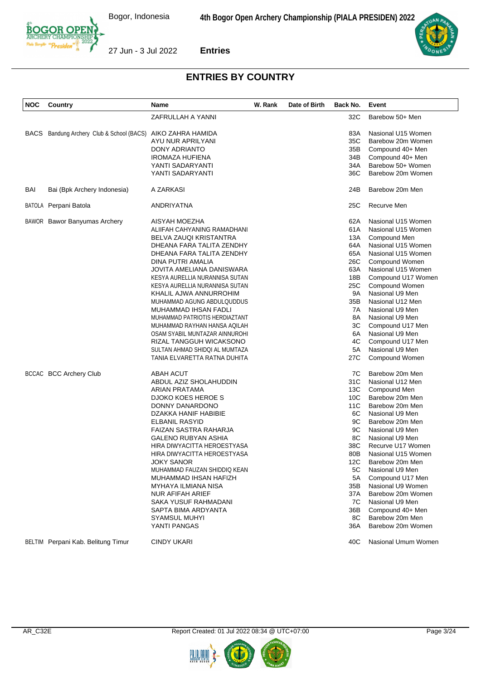

| <b>NOC</b> | Country                                                     | Name                           | W. Rank | Date of Birth | Back No. | Event               |
|------------|-------------------------------------------------------------|--------------------------------|---------|---------------|----------|---------------------|
|            |                                                             | ZAFRULLAH A YANNI              |         |               | 32C      | Barebow 50+ Men     |
|            | BACS Bandung Archery Club & School (BACS) AIKO ZAHRA HAMIDA |                                |         |               | 83A      | Nasional U15 Women  |
|            |                                                             | AYU NUR APRILYANI              |         |               | 35C      | Barebow 20m Women   |
|            |                                                             | DONY ADRIANTO                  |         |               | 35B      | Compound 40+ Men    |
|            |                                                             | <b>IROMAZA HUFIENA</b>         |         |               | 34B      | Compound 40+ Men    |
|            |                                                             | YANTI SADARYANTI               |         |               | 34A      | Barebow 50+ Women   |
|            |                                                             | YANTI SADARYANTI               |         |               | 36C      | Barebow 20m Women   |
| BAI        | Bai (Bpk Archery Indonesia)                                 | A ZARKASI                      |         |               | 24B      | Barebow 20m Men     |
|            | BATOLA Perpani Batola                                       | ANDRIYATNA                     |         |               | 25C      | Recurve Men         |
|            | <b>BAWOR</b> Bawor Banyumas Archery                         | AISYAH MOEZHA                  |         |               | 62A      | Nasional U15 Women  |
|            |                                                             | ALIIFAH CAHYANING RAMADHANI    |         |               | 61A      | Nasional U15 Women  |
|            |                                                             | BELVA ZAUQI KRISTANTRA         |         |               | 13A      | Compound Men        |
|            |                                                             | DHEANA FARA TALITA ZENDHY      |         |               | 64A      | Nasional U15 Women  |
|            |                                                             | DHEANA FARA TALITA ZENDHY      |         |               | 65A      | Nasional U15 Women  |
|            |                                                             | DINA PUTRI AMALIA              |         |               | 26C      | Compound Women      |
|            |                                                             | JOVITA AMELIANA DANISWARA      |         |               | 63A      | Nasional U15 Women  |
|            |                                                             | KESYA AURELLIA NURANNISA SUTAN |         |               | 18B      | Compound U17 Women  |
|            |                                                             | KESYA AURELLIA NURANNISA SUTAN |         |               | 25C      | Compound Women      |
|            |                                                             | KHALIL AJWA ANNURROHIM         |         |               | 9A       | Nasional U9 Men     |
|            |                                                             | MUHAMMAD AGUNG ABDULQUDDUS     |         |               | 35B      | Nasional U12 Men    |
|            |                                                             | MUHAMMAD IHSAN FADLI           |         |               | 7A       | Nasional U9 Men     |
|            |                                                             | MUHAMMAD PATRIOTIS HERDIAZTANT |         |               | 8A       | Nasional U9 Men     |
|            |                                                             | MUHAMMAD RAYHAN HANSA AQILAH   |         |               | ЗC       | Compound U17 Men    |
|            |                                                             | OSAM SYABIL MUNTAZAR AINNUROHI |         |               | 6A       | Nasional U9 Men     |
|            |                                                             | RIZAL TANGGUH WICAKSONO        |         |               | 4C       | Compound U17 Men    |
|            |                                                             | SULTAN AHMAD SHIDQI AL MUMTAZA |         |               | 5A       | Nasional U9 Men     |
|            |                                                             | TANIA ELVARETTA RATNA DUHITA   |         |               | 27C      | Compound Women      |
|            | <b>BCCAC BCC Archery Club</b>                               | ABAH ACUT                      |         |               | 7C       | Barebow 20m Men     |
|            |                                                             | ABDUL AZIZ SHOLAHUDDIN         |         |               | 31C      | Nasional U12 Men    |
|            |                                                             | ARIAN PRATAMA                  |         |               | 13C      | Compound Men        |
|            |                                                             | DJOKO KOES HEROE S             |         |               | 10C      | Barebow 20m Men     |
|            |                                                             | DONNY DANARDONO                |         |               | 11C      | Barebow 20m Men     |
|            |                                                             | DZAKKA HANIF HABIBIE           |         |               | 6C       | Nasional U9 Men     |
|            |                                                             | ELBANIL RASYID                 |         |               | 9C       | Barebow 20m Men     |
|            |                                                             | FAIZAN SASTRA RAHARJA          |         |               | 9C       | Nasional U9 Men     |
|            |                                                             | GALENO RUBYAN ASHIA            |         |               | 8C       | Nasional U9 Men     |
|            |                                                             | HIRA DIWYACITTA HEROESTYASA    |         |               | 38C      | Recurve U17 Women   |
|            |                                                             | HIRA DIWYACITTA HEROESTYASA    |         |               | 80B      | Nasional U15 Women  |
|            |                                                             | JOKY SANOR                     |         |               | 12C      | Barebow 20m Men     |
|            |                                                             | MUHAMMAD FAUZAN SHIDDIQ KEAN   |         |               | 5C       | Nasional U9 Men     |
|            |                                                             | MUHAMMAD IHSAN HAFIZH          |         |               | 5А       | Compound U17 Men    |
|            |                                                             | MYHAYA ILMIANA NISA            |         |               | 35B      | Nasional U9 Women   |
|            |                                                             | NUR AFIFAH ARIEF               |         |               | 37A      | Barebow 20m Women   |
|            |                                                             | SAKA YUSUF RAHMADANI           |         |               | 7C       | Nasional U9 Men     |
|            |                                                             | SAPTA BIMA ARDYANTA            |         |               | 36B      | Compound 40+ Men    |
|            |                                                             | <b>SYAMSUL MUHYI</b>           |         |               | 8C       | Barebow 20m Men     |
|            |                                                             | YANTI PANGAS                   |         |               | 36A      | Barebow 20m Women   |
|            | BELTIM Perpani Kab. Belitung Timur                          | <b>CINDY UKARI</b>             |         |               | 40C      | Nasional Umum Women |



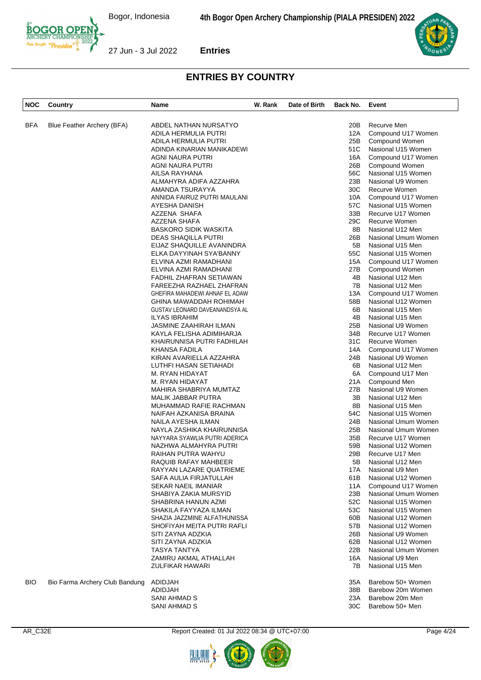

| NOC        | Country                        | <b>Name</b>                    | W. Rank | Date of Birth | Back No. | Event                |
|------------|--------------------------------|--------------------------------|---------|---------------|----------|----------------------|
|            |                                |                                |         |               |          |                      |
| <b>BFA</b> | Blue Feather Archery (BFA)     | ABDEL NATHAN NURSATYO          |         |               | 20B      | Recurve Men          |
|            |                                | ADILA HERMULIA PUTRI           |         |               | 12A      | Compound U17 Women   |
|            |                                | ADILA HERMULIA PUTRI           |         |               | 25B      | Compound Women       |
|            |                                | ADINDA KINARIAN MANIKADEWI     |         |               | 51C      | Nasional U15 Women   |
|            |                                |                                |         |               |          |                      |
|            |                                | AGNI NAURA PUTRI               |         |               | 16A      | Compound U17 Women   |
|            |                                | AGNI NAURA PUTRI               |         |               | 26B      | Compound Women       |
|            |                                | AILSA RAYHANA                  |         |               | 56C      | Nasional U15 Women   |
|            |                                | ALMAHYRA ADIFA AZZAHRA         |         |               | 23B      | Nasional U9 Women    |
|            |                                | AMANDA TSURAYYA                |         |               | 30C      | <b>Recurve Women</b> |
|            |                                | ANNIDA FAIRUZ PUTRI MAULANI    |         |               | 10A      | Compound U17 Women   |
|            |                                | AYESHA DANISH                  |         |               | 57C      | Nasional U15 Women   |
|            |                                | AZZENA SHAFA                   |         |               | 33B      | Recurve U17 Women    |
|            |                                | AZZENA SHAFA                   |         |               | 29C      | Recurve Women        |
|            |                                | <b>BASKORO SIDIK WASKITA</b>   |         |               | 8B       | Nasional U12 Men     |
|            |                                | DEAS SHAQILLA PUTRI            |         |               | 26B      | Nasional Umum Women  |
|            |                                |                                |         |               |          |                      |
|            |                                | EIJAZ SHAQUILLE AVANINDRA      |         |               | 5B       | Nasional U15 Men     |
|            |                                | ELKA DAYYINAH SYA'BANNY        |         |               | 55C      | Nasional U15 Women   |
|            |                                | ELVINA AZMI RAMADHANI          |         |               | 15A      | Compound U17 Women   |
|            |                                | ELVINA AZMI RAMADHANI          |         |               | 27B      | Compound Women       |
|            |                                | FADHIL ZHAFRAN SETIAWAN        |         |               | 4B       | Nasional U12 Men     |
|            |                                | FAREEZHA RAZHAEL ZHAFRAN       |         |               | 7B       | Nasional U12 Men     |
|            |                                | GHEFIRA MAHADEWI AHNAF EL ADAW |         |               | 13A      | Compound U17 Women   |
|            |                                | GHINA MAWADDAH ROHIMAH         |         |               | 58B      | Nasional U12 Women   |
|            |                                | GUSTAV LEONARD DAVEANANDSYA AL |         |               | 6B       | Nasional U15 Men     |
|            |                                | <b>ILYAS IBRAHIM</b>           |         |               | 4B       | Nasional U15 Men     |
|            |                                | JASMINE ZAAHIRAH ILMAN         |         |               | 25B      | Nasional U9 Women    |
|            |                                | KAYLA FELISHA ADIMIHARJA       |         |               | 34B      | Recurve U17 Women    |
|            |                                |                                |         |               |          |                      |
|            |                                | KHAIRUNNISA PUTRI FADHILAH     |         |               | 31C      | Recurve Women        |
|            |                                | KHANSA FADILA                  |         |               | 14A      | Compound U17 Women   |
|            |                                | KIRAN AVARIELLA AZZAHRA        |         |               | 24B      | Nasional U9 Women    |
|            |                                | LUTHFI HASAN SETIAHADI         |         |               | 6B       | Nasional U12 Men     |
|            |                                | M. RYAN HIDAYAT                |         |               | 6A       | Compound U17 Men     |
|            |                                | M. RYAN HIDAYAT                |         |               | 21A      | Compound Men         |
|            |                                | MAHIRA SHABRIYA MUMTAZ         |         |               | 27B      | Nasional U9 Women    |
|            |                                | MALIK JABBAR PUTRA             |         |               | 3B       | Nasional U12 Men     |
|            |                                | MUHAMMAD RAFIE RACHMAN         |         |               | 8Β       | Nasional U15 Men     |
|            |                                | NAIFAH AZKANISA BRAINA         |         |               | 54C      | Nasional U15 Women   |
|            |                                | NAILA AYESHA ILMAN             |         |               | 24B      | Nasional Umum Women  |
|            |                                | NAYLA ZASHIKA KHAIRUNNISA      |         |               | 25B      | Nasional Umum Women  |
|            |                                | NAYYARA SYAWLIA PUTRI ADERICA  |         |               | 35B      | Recurve U17 Women    |
|            |                                | NAZHWA ALMAHYRA PUTRI          |         |               | 59B      | Nasional U12 Women   |
|            |                                |                                |         |               |          |                      |
|            |                                | RAIHAN PUTRA WAHYU             |         |               | 29B      | Recurve U17 Men      |
|            |                                | RAQUIB RAFAY MAHBEER           |         |               | 5Β       | Nasional U12 Men     |
|            |                                | RAYYAN LAZARE QUATRIEME        |         |               | 17A      | Nasional U9 Men      |
|            |                                | SAFA AULIA FIRJATULLAH         |         |               | 61B      | Nasional U12 Women   |
|            |                                | <b>SEKAR NAEIL IMANIAR</b>     |         |               | 11A      | Compound U17 Women   |
|            |                                | SHABIYA ZAKIA MURSYID          |         |               | 23B      | Nasional Umum Women  |
|            |                                | SHABRINA HANUN AZMI            |         |               | 52C      | Nasional U15 Women   |
|            |                                | SHAKILA FAYYAZA ILMAN          |         |               | 53C      | Nasional U15 Women   |
|            |                                | SHAZIA JAZZMINE ALFATHUNISSA   |         |               | 60B      | Nasional U12 Women   |
|            |                                | SHOFIYAH MEITA PUTRI RAFLI     |         |               | 57B      | Nasional U12 Women   |
|            |                                | SITI ZAYNA ADZKIA              |         |               | 26B      | Nasional U9 Women    |
|            |                                | SITI ZAYNA ADZKIA              |         |               | 62B      | Nasional U12 Women   |
|            |                                |                                |         |               | 22B      |                      |
|            |                                | TASYA TANTYA                   |         |               |          | Nasional Umum Women  |
|            |                                | ZAMIRU AKMAL ATHALLAH          |         |               | 16A      | Nasional U9 Men      |
|            |                                | ZULFIKAR HAWARI                |         |               | 7В       | Nasional U15 Men     |
| <b>BIO</b> | Bio Farma Archery Club Bandung | ADIDJAH                        |         |               | 35A      | Barebow 50+ Women    |
|            |                                | ADIDJAH                        |         |               | 38B      | Barebow 20m Women    |
|            |                                | SANI AHMAD S                   |         |               | 23A      | Barebow 20m Men      |
|            |                                | SANI AHMAD S                   |         |               | 30C      | Barebow 50+ Men      |





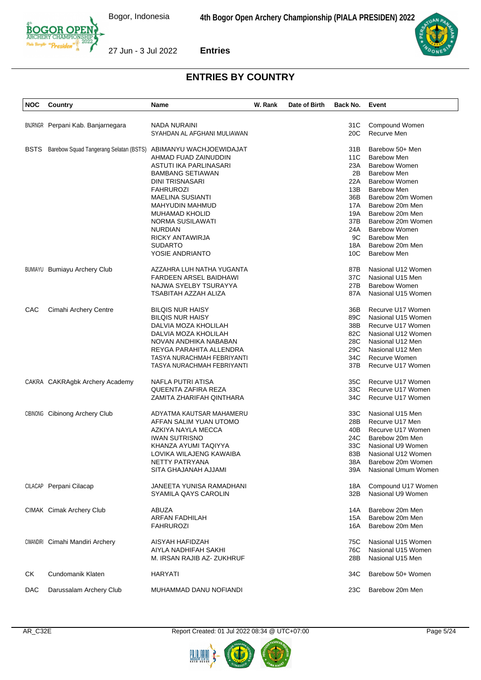

| <b>NOC</b>  | Country                                                        | Name                            | W. Rank | Date of Birth | Back No. | Event                |
|-------------|----------------------------------------------------------------|---------------------------------|---------|---------------|----------|----------------------|
|             |                                                                |                                 |         |               |          |                      |
|             | <b>BNJRNGR</b> Perpani Kab. Banjarnegara                       | <b>NADA NURAINI</b>             |         |               | 31C      | Compound Women       |
|             |                                                                | SYAHDAN AL AFGHANI MULIAWAN     |         |               | 20C      | Recurve Men          |
|             |                                                                |                                 |         |               |          |                      |
| <b>BSTS</b> | Barebow Squad Tangerang Selatan (BSTS) ABIMANYU WACHJOEWIDAJAT |                                 |         |               | 31B      | Barebow 50+ Men      |
|             |                                                                | AHMAD FUAD ZAINUDDIN            |         |               | 11C      | <b>Barebow Men</b>   |
|             |                                                                | ASTUTI IKA PARLINASARI          |         |               | 23A      | <b>Barebow Women</b> |
|             |                                                                | <b>BAMBANG SETIAWAN</b>         |         |               | 2B       | <b>Barebow Men</b>   |
|             |                                                                | <b>DINI TRISNASARI</b>          |         |               | 22A      | <b>Barebow Women</b> |
|             |                                                                | <b>FAHRUROZI</b>                |         |               | 13B      | <b>Barebow Men</b>   |
|             |                                                                | <b>MAELINA SUSIANTI</b>         |         |               | 36B      | Barebow 20m Women    |
|             |                                                                | MAHYUDIN MAHMUD                 |         |               | 17A      | Barebow 20m Men      |
|             |                                                                | <b>MUHAMAD KHOLID</b>           |         |               | 19A      | Barebow 20m Men      |
|             |                                                                | NORMA SUSILAWATI                |         |               | 37B      | Barebow 20m Women    |
|             |                                                                | <b>NURDIAN</b>                  |         |               | 24A      | <b>Barebow Women</b> |
|             |                                                                | RICKY ANTAWIRJA                 |         |               | 9C       | <b>Barebow Men</b>   |
|             |                                                                | <b>SUDARTO</b>                  |         |               | 18A      | Barebow 20m Men      |
|             |                                                                | YOSIE ANDRIANTO                 |         |               | 10C      | <b>Barebow Men</b>   |
|             |                                                                |                                 |         |               |          |                      |
|             | <b>BUMIAYU Bumiayu Archery Club</b>                            | AZZAHRA LUH NATHA YUGANTA       |         |               | 87B      | Nasional U12 Women   |
|             |                                                                | FARDEEN ARSEL BAIDHAWI          |         |               | 37C      | Nasional U15 Men     |
|             |                                                                | NAJWA SYELBY TSURAYYA           |         |               | 27B      | <b>Barebow Women</b> |
|             |                                                                | TSABITAH AZZAH ALIZA            |         |               | 87A      | Nasional U15 Women   |
| CAC         | Cimahi Archery Centre                                          | <b>BILQIS NUR HAISY</b>         |         |               | 36B      | Recurve U17 Women    |
|             |                                                                | <b>BILQIS NUR HAISY</b>         |         |               | 89C      | Nasional U15 Women   |
|             |                                                                | DALVIA MOZA KHOLILAH            |         |               | 38B      | Recurve U17 Women    |
|             |                                                                | DALVIA MOZA KHOLILAH            |         |               | 82C      | Nasional U12 Women   |
|             |                                                                | NOVAN ANDHIKA NABABAN           |         |               | 28C      | Nasional U12 Men     |
|             |                                                                | REYGA PARAHITA ALLENDRA         |         |               | 29C      | Nasional U12 Men     |
|             |                                                                | TASYA NURACHMAH FEBRIYANTI      |         |               | 34C      | Recurve Women        |
|             |                                                                | TASYA NURACHMAH FEBRIYANTI      |         |               | 37B      | Recurve U17 Women    |
|             |                                                                |                                 |         |               |          |                      |
|             | CAKRA CAKRAgbk Archery Academy                                 | NAFLA PUTRI ATISA               |         |               | 35C      | Recurve U17 Women    |
|             |                                                                | QUEENTA ZAFIRA REZA             |         |               | 33C      | Recurve U17 Women    |
|             |                                                                | ZAMITA ZHARIFAH QINTHARA        |         |               | 34C      | Recurve U17 Women    |
|             | <b>CIBINONG</b> Cibinong Archery Club                          | ADYATMA KAUTSAR MAHAMERU        |         |               | 33C      | Nasional U15 Men     |
|             |                                                                | AFFAN SALIM YUAN UTOMO          |         |               | 28B      | Recurve U17 Men      |
|             |                                                                | AZKIYA NAYLA MECCA              |         |               | 40B      | Recurve U17 Women    |
|             |                                                                | <b>IWAN SUTRISNO</b>            |         |               | 24C      | Barebow 20m Men      |
|             |                                                                | KHANZA AYUMI TAQIYYA            |         |               | 33C      | Nasional U9 Women    |
|             |                                                                | LOVIKA WILAJENG KAWAIBA         |         |               | 83B      | Nasional U12 Women   |
|             |                                                                | NETTY PATRYANA                  |         |               | 38A      | Barebow 20m Women    |
|             |                                                                | SITA GHAJANAH AJJAMI            |         |               | 39A      | Nasional Umum Women  |
|             |                                                                |                                 |         |               |          |                      |
|             | CILACAP Perpani Cilacap                                        | <b>JANEETA YUNISA RAMADHANI</b> |         |               | 18A      | Compound U17 Women   |
|             |                                                                | SYAMILA QAYS CAROLIN            |         |               | 32B      | Nasional U9 Women    |
|             | CIMAK Cimak Archery Club                                       | <b>ABUZA</b>                    |         |               | 14A      | Barebow 20m Men      |
|             |                                                                | <b>ARFAN FADHILAH</b>           |         |               | 15A      | Barebow 20m Men      |
|             |                                                                | <b>FAHRUROZI</b>                |         |               | 16A      | Barebow 20m Men      |
|             |                                                                |                                 |         |               |          |                      |
|             | CIMANDIRI Cimahi Mandiri Archery                               | AISYAH HAFIDZAH                 |         |               | 75C      | Nasional U15 Women   |
|             |                                                                | AIYLA NADHIFAH SAKHI            |         |               | 76C      | Nasional U15 Women   |
|             |                                                                | M. IRSAN RAJIB AZ-ZUKHRUF       |         |               | 28B      | Nasional U15 Men     |
| СK          | Cundomanik Klaten                                              | <b>HARYATI</b>                  |         |               | 34C      | Barebow 50+ Women    |
|             |                                                                |                                 |         |               |          |                      |
| <b>DAC</b>  | Darussalam Archery Club                                        | MUHAMMAD DANU NOFIANDI          |         |               | 23C      | Barebow 20m Men      |





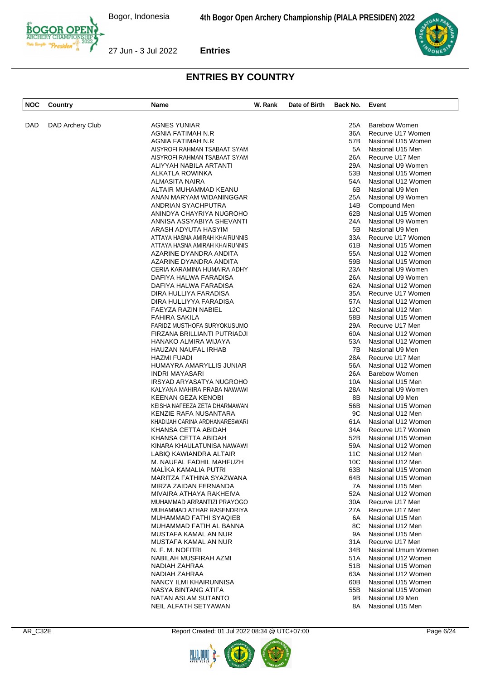

| <b>NOC</b> | Country          | Name                           | W. Rank | Date of Birth | Back No.        | Event                |
|------------|------------------|--------------------------------|---------|---------------|-----------------|----------------------|
| DAD        | DAD Archery Club | <b>AGNES YUNIAR</b>            |         |               | 25A             | <b>Barebow Women</b> |
|            |                  | AGNIA FATIMAH N.R              |         |               | 36A             | Recurve U17 Women    |
|            |                  | AGNIA FATIMAH N.R              |         |               | 57B             | Nasional U15 Women   |
|            |                  | AISYROFI RAHMAN TSABAAT SYAM   |         |               | 5A              | Nasional U15 Men     |
|            |                  | AISYROFI RAHMAN TSABAAT SYAM   |         |               | 26A             | Recurve U17 Men      |
|            |                  | ALIYYAH NABILA ARTANTI         |         |               | 29A             | Nasional U9 Women    |
|            |                  | ALKATLA ROWINKA                |         |               | 53B             | Nasional U15 Women   |
|            |                  | <b>ALMASITA NAIRA</b>          |         |               | 54A             | Nasional U12 Women   |
|            |                  | ALTAIR MUHAMMAD KEANU          |         |               | 6B              | Nasional U9 Men      |
|            |                  | ANAN MARYAM WIDANINGGAR        |         |               | 25A             | Nasional U9 Women    |
|            |                  | ANDRIAN SYACHPUTRA             |         |               | 14B             | Compound Men         |
|            |                  | ANINDYA CHAYRIYA NUGROHO       |         |               | 62B             | Nasional U15 Women   |
|            |                  | ANNISA ASSYABIYA SHEVANTI      |         |               | 24A             | Nasional U9 Women    |
|            |                  | ARASH ADYUTA HASYIM            |         |               | 5B              | Nasional U9 Men      |
|            |                  | ATTAYA HASNA AMIRAH KHAIRUNNIS |         |               | 33A             | Recurve U17 Women    |
|            |                  |                                |         |               |                 |                      |
|            |                  | ATTAYA HASNA AMIRAH KHAIRUNNIS |         |               | 61B             | Nasional U15 Women   |
|            |                  | AZARINE DYANDRA ANDITA         |         |               | 55A             | Nasional U12 Women   |
|            |                  | AZARINE DYANDRA ANDITA         |         |               | 59B             | Nasional U15 Women   |
|            |                  | CERIA KARAMINA HUMAIRA ADHY    |         |               | 23A             | Nasional U9 Women    |
|            |                  | DAFIYA HALWA FARADISA          |         |               | 26A             | Nasional U9 Women    |
|            |                  | DAFIYA HALWA FARADISA          |         |               | 62A             | Nasional U12 Women   |
|            |                  | DIRA HULLIYA FARADISA          |         |               | 35A             | Recurve U17 Women    |
|            |                  | DIRA HULLIYYA FARADISA         |         |               | 57A             | Nasional U12 Women   |
|            |                  | FAEYZA RAZIN NABIEL            |         |               | 12C             | Nasional U12 Men     |
|            |                  | <b>FAHIRA SAKILA</b>           |         |               | 58B             | Nasional U15 Women   |
|            |                  | FARIDZ MUSTHOFA SURYOKUSUMO    |         |               | 29A             | Recurve U17 Men      |
|            |                  | FIRZANA BRILLIANTI PUTRIADJI   |         |               | 60A             | Nasional U12 Women   |
|            |                  | HANAKO ALMIRA WIJAYA           |         |               | 53A             | Nasional U12 Women   |
|            |                  | HAUZAN NAUFAL IRHAB            |         |               | 7B              | Nasional U9 Men      |
|            |                  | HAZMI FUADI                    |         |               | 28A             | Recurve U17 Men      |
|            |                  | HUMAYRA AMARYLLIS JUNIAR       |         |               | 56A             | Nasional U12 Women   |
|            |                  | <b>INDRI MAYASARI</b>          |         |               | 26A             | <b>Barebow Women</b> |
|            |                  | IRSYAD ARYASATYA NUGROHO       |         |               | 10A             | Nasional U15 Men     |
|            |                  | KALYANA MAHIRA PRABA NAWAWI    |         |               | 28A             | Nasional U9 Women    |
|            |                  | KEENAN GEZA KENOBI             |         |               | 8B              | Nasional U9 Men      |
|            |                  | KEISHA NAFEEZA ZETA DHARMAWAN  |         |               | 56B             | Nasional U15 Women   |
|            |                  | KENZIE RAFA NUSANTARA          |         |               | 9C              | Nasional U12 Men     |
|            |                  | KHADIJAH CARINA ARDHANARESWARI |         |               | 61A             | Nasional U12 Women   |
|            |                  | KHANSA CETTA ABIDAH            |         |               | 34A             | Recurve U17 Women    |
|            |                  | KHANSA CETTA ABIDAH            |         |               | 52B             | Nasional U15 Women   |
|            |                  | KINARA KHAULATUNISA NAWAWI     |         |               | 59A             | Nasional U12 Women   |
|            |                  | LABIQ KAWIANDRA ALTAIR         |         |               | 11C             | Nasional U12 Men     |
|            |                  | M. NAUFAL FADHIL MAHFUZH       |         |               | 10 <sub>C</sub> | Nasional U12 Men     |
|            |                  | <b>MALIKA KAMALIA PUTRI</b>    |         |               | 63B             | Nasional U15 Women   |
|            |                  | MARITZA FATHINA SYAZWANA       |         |               | 64B             | Nasional U15 Women   |
|            |                  | MIRZA ZAIDAN FERNANDA          |         |               | 7A              | Nasional U15 Men     |
|            |                  | MIVAIRA ATHAYA RAKHEIVA        |         |               | 52A             | Nasional U12 Women   |
|            |                  | MUHAMMAD ARRANTIZI PRAYOGO     |         |               | 30A             | Recurve U17 Men      |
|            |                  | MUHAMMAD ATHAR RASENDRIYA      |         |               | 27A             | Recurve U17 Men      |
|            |                  | MUHAMMAD FATHI SYAQIEB         |         |               | 6A              | Nasional U15 Men     |
|            |                  | MUHAMMAD FATIH AL BANNA        |         |               | 8C              | Nasional U12 Men     |
|            |                  | MUSTAFA KAMAL AN NUR           |         |               | 9A              | Nasional U15 Men     |
|            |                  | MUSTAFA KAMAL AN NUR           |         |               | 31A             | Recurve U17 Men      |
|            |                  | N. F. M. NOFITRI               |         |               | 34B             | Nasional Umum Women  |
|            |                  | NABILAH MUSFIRAH AZMI          |         |               | 51A             | Nasional U12 Women   |
|            |                  | NADIAH ZAHRAA                  |         |               | 51B             | Nasional U15 Women   |
|            |                  | NADIAH ZAHRAA                  |         |               | 63A             | Nasional U12 Women   |
|            |                  | NANCY ILMI KHAIRUNNISA         |         |               | 60B             | Nasional U15 Women   |
|            |                  | NASYA BINTANG ATIFA            |         |               | 55B             | Nasional U15 Women   |
|            |                  | NATAN ASLAM SUTANTO            |         |               | 9Β              | Nasional U9 Men      |
|            |                  | NEIL ALFATH SETYAWAN           |         |               | 8A              | Nasional U15 Men     |

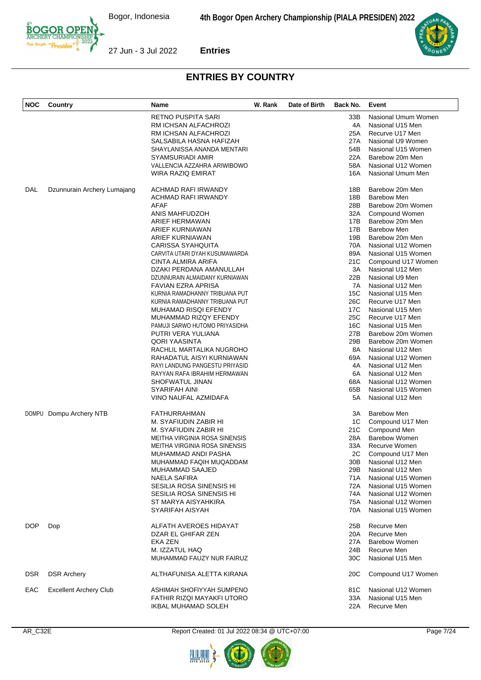

| <b>NOC</b> | Country                       | Name                           | W. Rank | Date of Birth | Back No. | Event                |
|------------|-------------------------------|--------------------------------|---------|---------------|----------|----------------------|
|            |                               | RETNO PUSPITA SARI             |         |               | 33B      | Nasional Umum Women  |
|            |                               | RM ICHSAN ALFACHROZI           |         |               | 4A       | Nasional U15 Men     |
|            |                               | RM ICHSAN ALFACHROZI           |         |               | 25A      | Recurve U17 Men      |
|            |                               | SALSABILA HASNA HAFIZAH        |         |               | 27A      | Nasional U9 Women    |
|            |                               | SHAYLANISSA ANANDA MENTARI     |         |               | 54B      | Nasional U15 Women   |
|            |                               | SYAMSURIADI AMIR               |         |               | 22A      | Barebow 20m Men      |
|            |                               | VALLENCIA AZZAHRA ARIWIBOWO    |         |               | 58A      | Nasional U12 Women   |
|            |                               | WIRA RAZIQ EMIRAT              |         |               | 16A      | Nasional Umum Men    |
| DAL        | Dzunnurain Archery Lumajang   | ACHMAD RAFI IRWANDY            |         |               | 18B      | Barebow 20m Men      |
|            |                               | ACHMAD RAFI IRWANDY            |         |               | 18B      | <b>Barebow Men</b>   |
|            |                               | AFAF                           |         |               | 28B      | Barebow 20m Women    |
|            |                               | ANIS MAHFUDZOH                 |         |               | 32A      | Compound Women       |
|            |                               | ARIEF HERMAWAN                 |         |               | 17B      | Barebow 20m Men      |
|            |                               | ARIEF KURNIAWAN                |         |               | 17B      | Barebow Men          |
|            |                               | ARIEF KURNIAWAN                |         |               | 19B      | Barebow 20m Men      |
|            |                               | <b>CARISSA SYAHQUITA</b>       |         |               | 70A      | Nasional U12 Women   |
|            |                               | CARVITA UTARI DYAH KUSUMAWARDA |         |               | 89A      | Nasional U15 Women   |
|            |                               | CINTA ALMIRA ARIFA             |         |               | 21C      | Compound U17 Women   |
|            |                               | DZAKI PERDANA AMANULLAH        |         |               | 3A       | Nasional U12 Men     |
|            |                               | DZUNNURAIN ALMAIDANY KURNIAWAN |         |               | 22B      | Nasional U9 Men      |
|            |                               | <b>FAVIAN EZRA APRISA</b>      |         |               | 7A       | Nasional U12 Men     |
|            |                               | KURNIA RAMADHANNY TRIBUANA PUT |         |               | 15C      | Nasional U15 Men     |
|            |                               | KURNIA RAMADHANNY TRIBUANA PUT |         |               | 26C      | Recurve U17 Men      |
|            |                               | MUHAMAD RISQI EFENDY           |         |               | 17C      | Nasional U15 Men     |
|            |                               | MUHAMMAD RIZQY EFENDY          |         |               | 25C      | Recurve U17 Men      |
|            |                               | PAMUJI SARWO HUTOMO PRIYASIDHA |         |               | 16C      | Nasional U15 Men     |
|            |                               | PUTRI VERA YULIANA             |         |               | 27B      | Barebow 20m Women    |
|            |                               | QORI YAASINTA                  |         |               | 29B      | Barebow 20m Women    |
|            |                               | RACHLIL MARTALIKA NUGROHO      |         |               | 8A       | Nasional U12 Men     |
|            |                               | RAHADATUL AISYI KURNIAWAN      |         |               | 69A      | Nasional U12 Women   |
|            |                               | RAYI LANDUNG PANGESTU PRIYASID |         |               | 4A       | Nasional U12 Men     |
|            |                               | RAYYAN RAFA IBRAHIM HERMAWAN   |         |               | 6A       | Nasional U12 Men     |
|            |                               | SHOFWATUL JINAN                |         |               | 68A      | Nasional U12 Women   |
|            |                               | SYARIFAH AINI                  |         |               | 65B      | Nasional U15 Women   |
|            |                               | VINO NAUFAL AZMIDAFA           |         |               | 5A       | Nasional U12 Men     |
|            | DOMPU Dompu Archery NTB       | <b>FATHURRAHMAN</b>            |         |               | 3A       | <b>Barebow Men</b>   |
|            |                               | M. SYAFIUDIN ZABIR HI          |         |               | 1C       | Compound U17 Men     |
|            |                               | M. SYAFIUDIN ZABIR HI          |         |               | 21C      | Compound Men         |
|            |                               | MEITHA VIRGINIA ROSA SINENSIS  |         |               | 28A      | <b>Barebow Women</b> |
|            |                               | MEITHA VIRGINIA ROSA SINENSIS  |         |               | 33A      | Recurve Women        |
|            |                               | MUHAMMAD ANDI PASHA            |         |               | 2C       | Compound U17 Men     |
|            |                               | MUHAMMAD FAQIH MUQADDAM        |         |               | 30B      | Nasional U12 Men     |
|            |                               | MUHAMMAD SAAJED                |         |               | 29B      | Nasional U12 Men     |
|            |                               | <b>NAELA SAFIRA</b>            |         |               | 71A      | Nasional U15 Women   |
|            |                               | SESILIA ROSA SINENSIS HI       |         |               | 72A      | Nasional U15 Women   |
|            |                               | SESILIA ROSA SINENSIS HI       |         |               | 74A      | Nasional U12 Women   |
|            |                               | ST MARYA AISYAHKIRA            |         |               | 75A      | Nasional U12 Women   |
|            |                               | SYARIFAH AISYAH                |         |               | 70A      | Nasional U15 Women   |
| DOP        | Dop                           | ALFATH AVEROES HIDAYAT         |         |               | 25B      | Recurve Men          |
|            |                               | DZAR EL GHIFAR ZEN             |         |               | 20A      | Recurve Men          |
|            |                               | EKA ZEN                        |         |               | 27A      | <b>Barebow Women</b> |
|            |                               | M. IZZATUL HAQ                 |         |               | 24B      | Recurve Men          |
|            |                               | MUHAMMAD FAUZY NUR FAIRUZ      |         |               | 30C      | Nasional U15 Men     |
| <b>DSR</b> | <b>DSR Archery</b>            | ALTHAFUNISA ALETTA KIRANA      |         |               | 20C      | Compound U17 Women   |
| EAC        | <b>Excellent Archery Club</b> | ASHIMAH SHOFIYYAH SUMPENO      |         |               | 81C      | Nasional U12 Women   |
|            |                               | FATHIR RIZQI MAYAKFI UTORO     |         |               | 33A      | Nasional U15 Men     |
|            |                               | IKBAL MUHAMAD SOLEH            |         |               | 22A      | Recurve Men          |





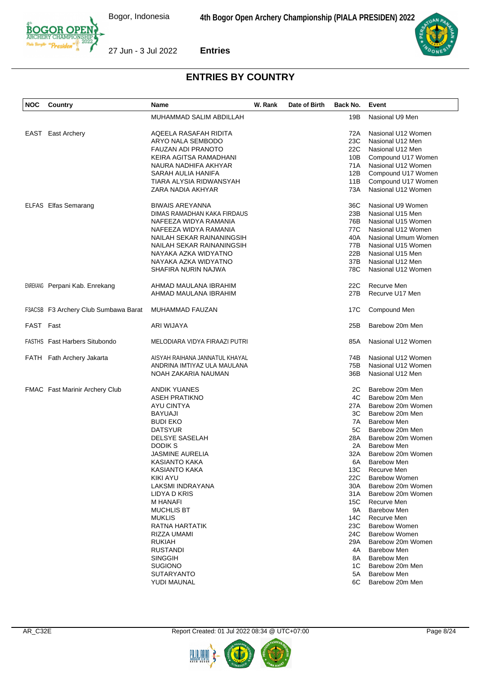



| <b>NOC</b> | Country                               | Name                           | W. Rank | Date of Birth | Back No. | Event                |
|------------|---------------------------------------|--------------------------------|---------|---------------|----------|----------------------|
|            |                                       | MUHAMMAD SALIM ABDILLAH        |         |               | 19B      | Nasional U9 Men      |
| EAST       | East Archery                          | AQEELA RASAFAH RIDITA          |         |               | 72A      | Nasional U12 Women   |
|            |                                       | ARYO NALA SEMBODO              |         |               | 23C      | Nasional U12 Men     |
|            |                                       | <b>FAUZAN ADI PRANOTO</b>      |         |               | 22C      | Nasional U12 Men     |
|            |                                       | KEIRA AGITSA RAMADHANI         |         |               | 10B      | Compound U17 Women   |
|            |                                       | NAURA NADHIFA AKHYAR           |         |               | 71A      | Nasional U12 Women   |
|            |                                       | SARAH AULIA HANIFA             |         |               | 12B      | Compound U17 Women   |
|            |                                       | TIARA ALYSIA RIDWANSYAH        |         |               | 11B      | Compound U17 Women   |
|            |                                       | ZARA NADIA AKHYAR              |         |               | 73A      | Nasional U12 Women   |
|            | ELFAS Elfas Semarang                  | <b>BIWAIS AREYANNA</b>         |         |               | 36C      | Nasional U9 Women    |
|            |                                       | DIMAS RAMADHAN KAKA FIRDAUS    |         |               | 23B      | Nasional U15 Men     |
|            |                                       | NAFEEZA WIDYA RAMANIA          |         |               | 76B      | Nasional U15 Women   |
|            |                                       | NAFEEZA WIDYA RAMANIA          |         |               | 77C      | Nasional U12 Women   |
|            |                                       | NAILAH SEKAR RAINANINGSIH      |         |               | 40A      | Nasional Umum Women  |
|            |                                       | NAILAH SEKAR RAINANINGSIH      |         |               | 77B      | Nasional U15 Women   |
|            |                                       | NAYAKA AZKA WIDYATNO           |         |               | 22B      | Nasional U15 Men     |
|            |                                       | NAYAKA AZKA WIDYATNO           |         |               | 37B      | Nasional U12 Men     |
|            |                                       | SHAFIRA NURIN NAJWA            |         |               | 78C      | Nasional U12 Women   |
|            | <b>ENREKANG</b> Perpani Kab. Enrekang | AHMAD MAULANA IBRAHIM          |         |               | 22C      | Recurve Men          |
|            |                                       | AHMAD MAULANA IBRAHIM          |         |               | 27B      | Recurve U17 Men      |
|            | F3ACSB F3 Archery Club Sumbawa Barat  | MUHAMMAD FAUZAN                |         |               | 17C      | Compound Men         |
| FAST Fast  |                                       | ARI WIJAYA                     |         |               | 25B      | Barebow 20m Men      |
|            | <b>FASTHS</b> Fast Harbers Situbondo  | MELODIARA VIDYA FIRAAZI PUTRI  |         |               | 85A      | Nasional U12 Women   |
|            | FATH Fath Archery Jakarta             | AISYAH RAIHANA JANNATUL KHAYAL |         |               | 74B      | Nasional U12 Women   |
|            |                                       | ANDRINA IMTIYAZ ULA MAULANA    |         |               | 75B      | Nasional U12 Women   |
|            |                                       | NOAH ZAKARIA NAUMAN            |         |               | 36B      | Nasional U12 Men     |
|            | <b>FMAC</b> Fast Marinir Archery Club | ANDIK YUANES                   |         |               | 2C       | Barebow 20m Men      |
|            |                                       | <b>ASEH PRATIKNO</b>           |         |               | 4C       | Barebow 20m Men      |
|            |                                       | AYU CINTYA                     |         |               | 27A      | Barebow 20m Women    |
|            |                                       | <b>BAYUAJI</b>                 |         |               | ЗC       | Barebow 20m Men      |
|            |                                       | <b>BUDI EKO</b>                |         |               | 7A       | <b>Barebow Men</b>   |
|            |                                       | <b>DATSYUR</b>                 |         |               | 5C       | Barebow 20m Men      |
|            |                                       | DELSYE SASELAH                 |         |               | 28A      | Barebow 20m Women    |
|            |                                       | DODIK S                        |         |               | 2A       | <b>Barebow Men</b>   |
|            |                                       | <b>JASMINE AURELIA</b>         |         |               | 32A      | Barebow 20m Women    |
|            |                                       | KASIANTO KAKA                  |         |               | 6A       | <b>Barebow Men</b>   |
|            |                                       | <b>KASIANTO KAKA</b>           |         |               | 13C      | Recurve Men          |
|            |                                       | KIKI AYU                       |         |               | 22C      | <b>Barebow Women</b> |
|            |                                       | LAKSMI INDRAYANA               |         |               | 30A      | Barebow 20m Women    |
|            |                                       | LIDYA D KRIS                   |         |               | 31 A     | Barebow 20m Women    |
|            |                                       | <b>M HANAFI</b>                |         |               | 15C      | Recurve Men          |
|            |                                       | <b>MUCHLIS BT</b>              |         |               | 9A       | <b>Barebow Men</b>   |
|            |                                       | <b>MUKLIS</b>                  |         |               | 14C      | Recurve Men          |
|            |                                       | RATNA HARTATIK                 |         |               | 23C      | Barebow Women        |
|            |                                       | RIZZA UMAMI                    |         |               | 24C      | Barebow Women        |
|            |                                       | <b>RUKIAH</b>                  |         |               | 29A      | Barebow 20m Women    |
|            |                                       | <b>RUSTANDI</b>                |         |               | 4A       | <b>Barebow Men</b>   |
|            |                                       | <b>SINGGIH</b>                 |         |               | 8A       | <b>Barebow Men</b>   |
|            |                                       | <b>SUGIONO</b>                 |         |               | 1C       | Barebow 20m Men      |
|            |                                       | <b>SUTARYANTO</b>              |         |               | 5A       | <b>Barebow Men</b>   |
|            |                                       | YUDI MAUNAL                    |         |               | 6C       | Barebow 20m Men      |

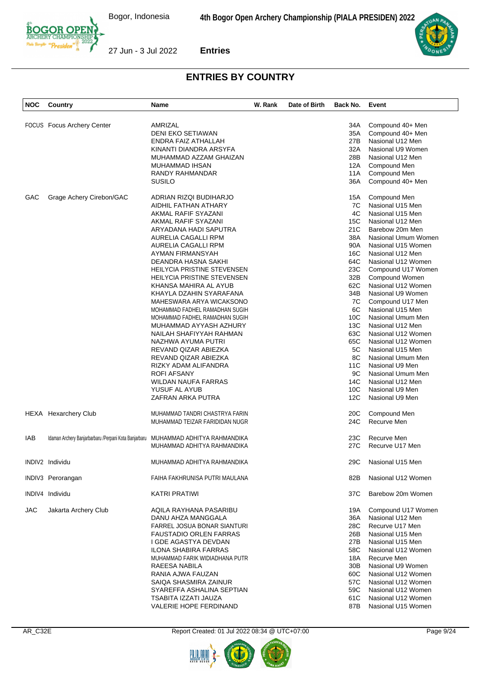

| <b>NOC</b> | Country                    | Name                                                                               | W. Rank | Date of Birth | Back No.        | Event               |
|------------|----------------------------|------------------------------------------------------------------------------------|---------|---------------|-----------------|---------------------|
|            |                            |                                                                                    |         |               |                 |                     |
|            | FOCUS Focus Archery Center | AMRIZAL                                                                            |         |               | 34A             | Compound 40+ Men    |
|            |                            | <b>DENI EKO SETIAWAN</b>                                                           |         |               | 35A             | Compound 40+ Men    |
|            |                            | ENDRA FAIZ ATHALLAH                                                                |         |               | 27B             | Nasional U12 Men    |
|            |                            | KINANTI DIANDRA ARSYFA                                                             |         |               | 32A             | Nasional U9 Women   |
|            |                            | MUHAMMAD AZZAM GHAIZAN                                                             |         |               | 28B             | Nasional U12 Men    |
|            |                            | MUHAMMAD IHSAN                                                                     |         |               | 12A             | Compound Men        |
|            |                            | RANDY RAHMANDAR                                                                    |         |               | 11A             | Compound Men        |
|            |                            | <b>SUSILO</b>                                                                      |         |               | 36A             | Compound 40+ Men    |
| GAC        | Grage Achery Cirebon/GAC   | ADRIAN RIZQI BUDIHARJO                                                             |         |               | 15A             | Compound Men        |
|            |                            | AIDHIL FATHAN ATHARY                                                               |         |               | 7C              | Nasional U15 Men    |
|            |                            | AKMAL RAFIF SYAZANI                                                                |         |               | 4C              | Nasional U15 Men    |
|            |                            | AKMAL RAFIF SYAZANI                                                                |         |               | 15C             | Nasional U12 Men    |
|            |                            | ARYADANA HADI SAPUTRA                                                              |         |               | 21C             | Barebow 20m Men     |
|            |                            | AURELIA CAGALLI RPM                                                                |         |               | 38A             | Nasional Umum Women |
|            |                            | AURELIA CAGALLI RPM                                                                |         |               | 90A             | Nasional U15 Women  |
|            |                            | AYMAN FIRMANSYAH                                                                   |         |               | 16C             | Nasional U12 Men    |
|            |                            | DEANDRA HASNA SAKHI                                                                |         |               | 64C             | Nasional U12 Women  |
|            |                            | HEILYCIA PRISTINE STEVENSEN                                                        |         |               | 23C             | Compound U17 Women  |
|            |                            | <b>HEILYCIA PRISTINE STEVENSEN</b>                                                 |         |               | 32B             | Compound Women      |
|            |                            | KHANSA MAHIRA AL AYUB                                                              |         |               | 62C             | Nasional U12 Women  |
|            |                            | KHAYLA DZAHIN SYARAFANA                                                            |         |               | 34B             | Nasional U9 Women   |
|            |                            | MAHESWARA ARYA WICAKSONO                                                           |         |               | 7C              | Compound U17 Men    |
|            |                            | MOHAMMAD FADHEL RAMADHAN SUGIH                                                     |         |               | 6C              | Nasional U15 Men    |
|            |                            | MOHAMMAD FADHEL RAMADHAN SUGIH                                                     |         |               | 10C             | Nasional Umum Men   |
|            |                            | MUHAMMAD AYYASH AZHURY                                                             |         |               | 13C             | Nasional U12 Men    |
|            |                            | NAILAH SHAFIYYAH RAHMAN                                                            |         |               | 63C             | Nasional U12 Women  |
|            |                            | NAZHWA AYUMA PUTRI                                                                 |         |               | 65C             | Nasional U12 Women  |
|            |                            | REVAND QIZAR ABIEZKA                                                               |         |               | 5C              | Nasional U15 Men    |
|            |                            | REVAND QIZAR ABIEZKA                                                               |         |               | 8C              | Nasional Umum Men   |
|            |                            |                                                                                    |         |               |                 |                     |
|            |                            | RIZKY ADAM ALIFANDRA                                                               |         |               | 11C             | Nasional U9 Men     |
|            |                            | <b>ROFI AFSANY</b>                                                                 |         |               | 9C              | Nasional Umum Men   |
|            |                            | WILDAN NAUFA FARRAS                                                                |         |               | 14C             | Nasional U12 Men    |
|            |                            | YUSUF AL AYUB                                                                      |         |               | 10C             | Nasional U9 Men     |
|            |                            | ZAFRAN ARKA PUTRA                                                                  |         |               | 12C             | Nasional U9 Men     |
|            | HEXA Hexarchery Club       | MUHAMMAD TANDRI CHASTRYA FARIN                                                     |         |               | 20C             | Compound Men        |
|            |                            | MUHAMMAD TEIZAR FARIDIDAN NUGR                                                     |         |               | 24C             | Recurve Men         |
| IAB        |                            | Idaman Archery Banjarbarbaru / Perpani Kota Banjarbaru MUHAMMAD ADHITYA RAHMANDIKA |         |               | 23C             | Recurve Men         |
|            |                            | MUHAMMAD ADHITYA RAHMANDIKA                                                        |         |               | 27C             | Recurve U17 Men     |
|            | INDIV2 Individu            | MUHAMMAD ADHITYA RAHMANDIKA                                                        |         |               | 29C             | Nasional U15 Men    |
|            | INDIV3 Perorangan          | FAIHA FAKHRUNISA PUTRI MAULANA                                                     |         |               | 82B             | Nasional U12 Women  |
|            | INDIV4 Individu            | <b>KATRI PRATIWI</b>                                                               |         |               | 37C             | Barebow 20m Women   |
|            |                            |                                                                                    |         |               |                 |                     |
| <b>JAC</b> | Jakarta Archery Club       | AQILA RAYHANA PASARIBU                                                             |         |               | 19A             | Compound U17 Women  |
|            |                            | DANU AHZA MANGGALA                                                                 |         |               | 36A             | Nasional U12 Men    |
|            |                            | FARREL JOSUA BONAR SIANTURI                                                        |         |               | 28C             | Recurve U17 Men     |
|            |                            | <b>FAUSTADIO ORLEN FARRAS</b>                                                      |         |               | 26B             | Nasional U15 Men    |
|            |                            | I GDE AGASTYA DEVDAN                                                               |         |               | 27B             | Nasional U15 Men    |
|            |                            | <b>ILONA SHABIRA FARRAS</b>                                                        |         |               | 58C             | Nasional U12 Women  |
|            |                            | MUHAMMAD FARIK WIDIADHANA PUTR                                                     |         |               | 18A             | Recurve Men         |
|            |                            | RAEESA NABILA                                                                      |         |               | 30 <sub>B</sub> | Nasional U9 Women   |
|            |                            | RANIA AJWA FAUZAN                                                                  |         |               | 60C             | Nasional U12 Women  |
|            |                            | SAIQA SHASMIRA ZAINUR                                                              |         |               | 57C             | Nasional U12 Women  |
|            |                            | SYAREFFA ASHALINA SEPTIAN                                                          |         |               | 59C             | Nasional U12 Women  |
|            |                            | TSABITA IZZATI JAUZA                                                               |         |               | 61C             | Nasional U12 Women  |
|            |                            | VALERIE HOPE FERDINAND                                                             |         |               | 87B             | Nasional U15 Women  |



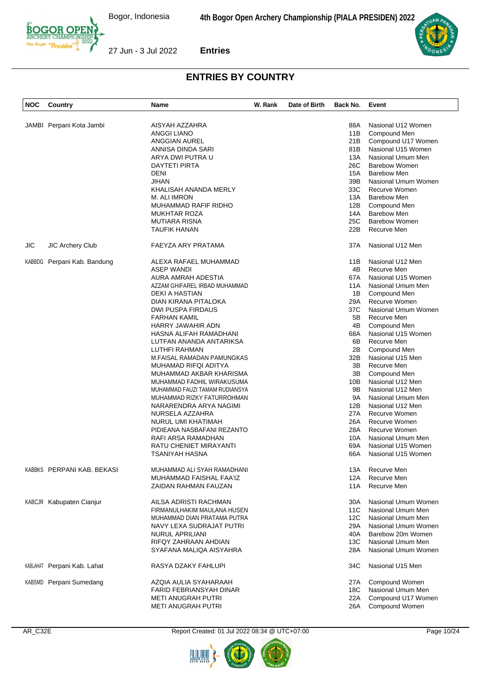

| <b>NOC</b> | Country                     | Name                           | W. Rank | Date of Birth | Back No. | Event                |
|------------|-----------------------------|--------------------------------|---------|---------------|----------|----------------------|
|            |                             |                                |         |               |          |                      |
|            | JAMBI Perpani Kota Jambi    | AISYAH AZZAHRA                 |         |               | 88A      | Nasional U12 Women   |
|            |                             | <b>ANGGI LIANO</b>             |         |               | 11B      | Compound Men         |
|            |                             | ANGGIAN AUREL                  |         |               | 21B      | Compound U17 Women   |
|            |                             | ANNISA DINDA SARI              |         |               | 81B      | Nasional U15 Women   |
|            |                             |                                |         |               | 13A      | Nasional Umum Men    |
|            |                             | ARYA DWI PUTRA U               |         |               |          |                      |
|            |                             | DAYTETI PIRTA                  |         |               | 26C      | <b>Barebow Women</b> |
|            |                             | DENI                           |         |               | 15A      | <b>Barebow Men</b>   |
|            |                             | JIHAN                          |         |               | 39B      | Nasional Umum Women  |
|            |                             | KHALISAH ANANDA MERLY          |         |               | 33C      | Recurve Women        |
|            |                             | M. ALI IMRON                   |         |               | 13A      | <b>Barebow Men</b>   |
|            |                             | MUHAMMAD RAFIF RIDHO           |         |               | 12B      | Compound Men         |
|            |                             | <b>MUKHTAR ROZA</b>            |         |               | 14A      | <b>Barebow Men</b>   |
|            |                             | <b>MUTIARA RISNA</b>           |         |               | 25C      | <b>Barebow Women</b> |
|            |                             | TAUFIK HANAN                   |         |               | 22B      | Recurve Men          |
|            |                             |                                |         |               |          |                      |
| JIC        | <b>JIC Archery Club</b>     | FAEYZA ARY PRATAMA             |         |               | 37A      | Nasional U12 Men     |
|            | KABBDG Perpani Kab. Bandung | ALEXA RAFAEL MUHAMMAD          |         |               | 11B      | Nasional U12 Men     |
|            |                             | <b>ASEP WANDI</b>              |         |               | 4B       | Recurve Men          |
|            |                             | AURA AMRAH ADESTIA             |         |               | 67A      | Nasional U15 Women   |
|            |                             | AZZAM GHIFAREL IRBAD MUHAMMAD  |         |               | 11A      | Nasional Umum Men    |
|            |                             | DEKI A HASTIAN                 |         |               | 1B       | Compound Men         |
|            |                             | DIAN KIRANA PITALOKA           |         |               | 29A      | <b>Recurve Women</b> |
|            |                             |                                |         |               |          |                      |
|            |                             | DWI PUSPA FIRDAUS              |         |               | 37C      | Nasional Umum Women  |
|            |                             | FARHAN KAMIL                   |         |               | 5B       | Recurve Men          |
|            |                             | <b>HARRY JAWAHIR ADN</b>       |         |               | 4B       | Compound Men         |
|            |                             | HASNA ALIFAH RAMADHANI         |         |               | 68A      | Nasional U15 Women   |
|            |                             | LUTFAN ANANDA ANTARIKSA        |         |               | 6B       | Recurve Men          |
|            |                             | LUTHFI RAHMAN                  |         |               | 2B       | Compound Men         |
|            |                             | M.FAISAL RAMADAN PAMUNGKAS     |         |               | 32B      | Nasional U15 Men     |
|            |                             | MUHAMAD RIFQI ADITYA           |         |               | 3B       | Recurve Men          |
|            |                             | MUHAMMAD AKBAR KHARISMA        |         |               | ЗB       | Compound Men         |
|            |                             | MUHAMMAD FADHIL WIRAKUSUMA     |         |               | 10B      | Nasional U12 Men     |
|            |                             |                                |         |               | 9Β       |                      |
|            |                             | MUHAMMAD FAUZI TAMAM RUDIANSYA |         |               |          | Nasional U12 Men     |
|            |                             | MUHAMMAD RIZKY FATURROHMAN     |         |               | 9A       | Nasional Umum Men    |
|            |                             | NARARENDRA ARYA NAGIMI         |         |               | 12B      | Nasional U12 Men     |
|            |                             | NURSELA AZZAHRA                |         |               | 27A      | Recurve Women        |
|            |                             | NURUL UMI KHATIMAH             |         |               | 26A      | Recurve Women        |
|            |                             | PIDIEANA NASBAFANI REZANTO     |         |               | 28A      | Recurve Women        |
|            |                             | RAFI ARSA RAMADHAN             |         |               | 10A      | Nasional Umum Men    |
|            |                             | RATU CHENIET MIRAYANTI         |         |               | 69A      | Nasional U15 Women   |
|            |                             | TSANIYAH HASNA                 |         |               | 66A      | Nasional U15 Women   |
|            |                             |                                |         |               |          |                      |
|            | KABBKS PERPANI KAB. BEKASI  | MUHAMMAD ALI SYAH RAMADHANI    |         |               | 13A      | Recurve Men          |
|            |                             | MUHAMMAD FAISHAL FAA'IZ        |         |               | 12A      | Recurve Men          |
|            |                             | ZAIDAN RAHMAN FAUZAN           |         |               | 11A      | Recurve Men          |
|            | KABCJR Kabupaten Cianjur    | AILSA ADRISTI RACHMAN          |         |               | 30A      | Nasional Umum Women  |
|            |                             | FIRMANULHAKIM MAULANA HUSEN    |         |               | 11C      | Nasional Umum Men    |
|            |                             | MUHAMMAD DIAN PRATAMA PUTRA    |         |               | 12C      | Nasional Umum Men    |
|            |                             | NAVY LEXA SUDRAJAT PUTRI       |         |               | 29A      | Nasional Umum Women  |
|            |                             |                                |         |               | 40A      | Barebow 20m Women    |
|            |                             | <b>NURUL APRILIANI</b>         |         |               |          |                      |
|            |                             | RIFQY ZAHRAAN AHDIAN           |         |               | 13C      | Nasional Umum Men    |
|            |                             | SYAFANA MALIQA AISYAHRA        |         |               | 28A      | Nasional Umum Women  |
|            | KABLAHAT Perpani Kab. Lahat | RASYA DZAKY FAHLUPI            |         |               | 34C      | Nasional U15 Men     |
|            | KABSMD Perpani Sumedang     | AZQIA AULIA SYAHARAAH          |         |               | 27A      | Compound Women       |
|            |                             | FARID FEBRIANSYAH DINAR        |         |               | 18C      | Nasional Umum Men    |
|            |                             | METI ANUGRAH PUTRI             |         |               | 22A      | Compound U17 Women   |
|            |                             | METI ANUGRAH PUTRI             |         |               | 26A      | Compound Women       |
|            |                             |                                |         |               |          |                      |



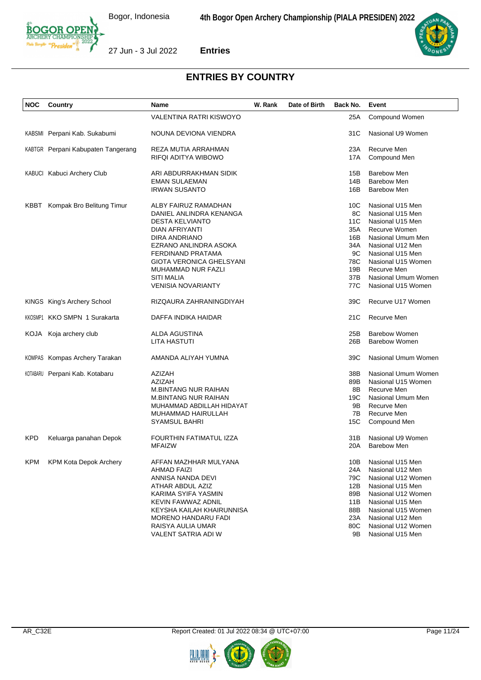



| <b>NOC</b> | Country                            | <b>Name</b>                     | W. Rank | Date of Birth | Back No.        | Event                      |
|------------|------------------------------------|---------------------------------|---------|---------------|-----------------|----------------------------|
|            |                                    | VALENTINA RATRI KISWOYO         |         |               | 25A             | Compound Women             |
|            | KABSMI Perpani Kab. Sukabumi       | NOUNA DEVIONA VIENDRA           |         |               | 31C             | Nasional U9 Women          |
|            | KABTGR Perpani Kabupaten Tangerang | REZA MUTIA ARRAHMAN             |         |               | 23A             | Recurve Men                |
|            |                                    | RIFQI ADITYA WIBOWO             |         |               | 17A             | Compound Men               |
|            |                                    |                                 |         |               |                 |                            |
|            | KABUCI Kabuci Archery Club         | ARI ABDURRAKHMAN SIDIK          |         |               | 15B             | Barebow Men<br>Barebow Men |
|            |                                    | EMAN SULAEMAN                   |         |               | 14B             |                            |
|            |                                    | <b>IRWAN SUSANTO</b>            |         |               | 16B             | <b>Barebow Men</b>         |
| KBBT       | Kompak Bro Belitung Timur          | ALBY FAIRUZ RAMADHAN            |         |               | 10 <sup>C</sup> | Nasional U15 Men           |
|            |                                    | DANIEL ANLINDRA KENANGA         |         |               | 8C              | Nasional U15 Men           |
|            |                                    | <b>DESTA KELVIANTO</b>          |         |               | 11C             | Nasional U15 Men           |
|            |                                    | DIAN AFRIYANTI                  |         |               | 35A             | Recurve Women              |
|            |                                    | DIRA ANDRIANO                   |         |               | 16B             | Nasional Umum Men          |
|            |                                    | EZRANO ANLINDRA ASOKA           |         |               | 34A             | Nasional U12 Men           |
|            |                                    | FERDINAND PRATAMA               |         |               | 9C              | Nasional U15 Men           |
|            |                                    | <b>GIOTA VERONICA GHELSYANI</b> |         |               | 78C             | Nasional U15 Women         |
|            |                                    | <b>MUHAMMAD NUR FAZLI</b>       |         |               | 19B             | Recurve Men                |
|            |                                    | SITI MALIA                      |         |               | 37B             | Nasional Umum Women        |
|            |                                    | <b>VENISIA NOVARIANTY</b>       |         |               | 77C             | Nasional U15 Women         |
|            |                                    |                                 |         |               |                 |                            |
|            | KINGS King's Archery School        | RIZQAURA ZAHRANINGDIYAH         |         |               | 39C             | Recurve U17 Women          |
|            | KKOSMP1 KKO SMPN 1 Surakarta       | DAFFA INDIKA HAIDAR             |         |               | 21C             | Recurve Men                |
| KOJA       | Koja archery club                  | ALDA AGUSTINA                   |         |               | 25B             | <b>Barebow Women</b>       |
|            |                                    | LITA HASTUTI                    |         |               | 26B             | <b>Barebow Women</b>       |
|            | KOMPAS Kompas Archery Tarakan      | AMANDA ALIYAH YUMNA             |         |               | 39C             | Nasional Umum Women        |
|            | KOTABARU Perpani Kab. Kotabaru     | AZIZAH                          |         |               | 38B             | Nasional Umum Women        |
|            |                                    | <b>AZIZAH</b>                   |         |               | 89B             | Nasional U15 Women         |
|            |                                    | <b>M.BINTANG NUR RAIHAN</b>     |         |               | 8Β              | Recurve Men                |
|            |                                    | <b>M.BINTANG NUR RAIHAN</b>     |         |               | 19C             | Nasional Umum Men          |
|            |                                    | MUHAMMAD ABDILLAH HIDAYAT       |         |               | 9B              | Recurve Men                |
|            |                                    | MUHAMMAD HAIRULLAH              |         |               | 7B              | Recurve Men                |
|            |                                    | <b>SYAMSUL BAHRI</b>            |         |               | 15C             | Compound Men               |
|            |                                    | FOURTHIN FATIMATUL IZZA         |         |               | 31B             | Nasional U9 Women          |
| <b>KPD</b> | Keluarga panahan Depok             |                                 |         |               |                 | <b>Barebow Men</b>         |
|            |                                    | <b>MFAIZW</b>                   |         |               | 20A             |                            |
|            | KPM KPM Kota Depok Archery         | AFFAN MAZHHAR MULYANA           |         |               |                 | 10B Nasional U15 Men       |
|            |                                    | AHMAD FAIZI                     |         |               | 24A             | Nasional U12 Men           |
|            |                                    | ANNISA NANDA DEVI               |         |               | 79C             | Nasional U12 Women         |
|            |                                    | ATHAR ABDUL AZIZ                |         |               | 12B             | Nasional U15 Men           |
|            |                                    | KARIMA SYIFA YASMIN             |         |               | 89B             | Nasional U12 Women         |
|            |                                    | KEVIN FAWWAZ ADNIL              |         |               | 11B             | Nasional U15 Men           |
|            |                                    | KEYSHA KAILAH KHAIRUNNISA       |         |               | 88B             | Nasional U15 Women         |
|            |                                    | <b>MORENO HANDARU FADI</b>      |         |               | 23A             | Nasional U12 Men           |
|            |                                    | RAISYA AULIA UMAR               |         |               | 80C             | Nasional U12 Women         |
|            |                                    | VALENT SATRIA ADI W             |         |               | 9B              | Nasional U15 Men           |



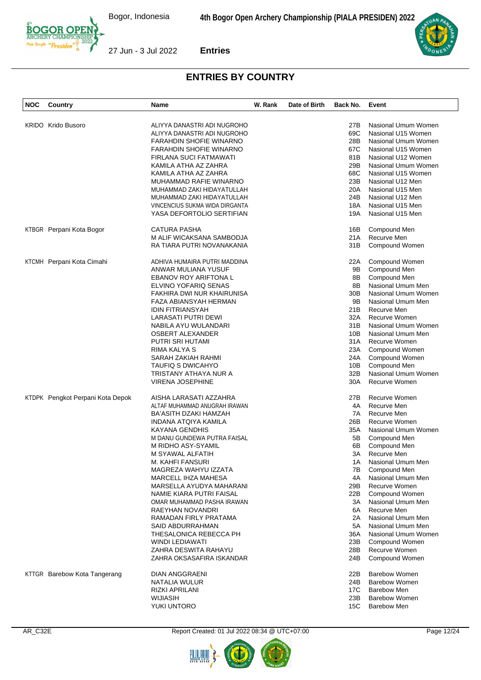

27 Jun - 3 Jul 2022 **Entries**



| NOC | <b>Country</b>                   | Name                           | W. Rank | Date of Birth | Back No. | Event                |
|-----|----------------------------------|--------------------------------|---------|---------------|----------|----------------------|
|     | <b>KRIDO</b> Krido Busoro        |                                |         |               |          | Nasional Umum Women  |
|     |                                  | ALIYYA DANASTRI ADI NUGROHO    |         |               | 27B      |                      |
|     |                                  | ALIYYA DANASTRI ADI NUGROHO    |         |               | 69C      | Nasional U15 Women   |
|     |                                  | <b>FARAHDIN SHOFIE WINARNO</b> |         |               | 28B      | Nasional Umum Women  |
|     |                                  | FARAHDIN SHOFIE WINARNO        |         |               | 67C      | Nasional U15 Women   |
|     |                                  | FIRLANA SUCI FATMAWATI         |         |               | 81B      | Nasional U12 Women   |
|     |                                  | KAMILA ATHA AZ ZAHRA           |         |               | 29B      | Nasional Umum Women  |
|     |                                  | KAMILA ATHA AZ ZAHRA           |         |               | 68C      | Nasional U15 Women   |
|     |                                  | MUHAMMAD RAFIE WINARNO         |         |               | 23B      | Nasional U12 Men     |
|     |                                  | MUHAMMAD ZAKI HIDAYATULLAH     |         |               | 20A      | Nasional U15 Men     |
|     |                                  | MUHAMMAD ZAKI HIDAYATULLAH     |         |               | 24B      | Nasional U12 Men     |
|     |                                  | VINCENCIUS SUKMA WIDA DIRGANTA |         |               | 18A      | Nasional U15 Men     |
|     |                                  | YASA DEFORTOLIO SERTIFIAN      |         |               | 19A      | Nasional U15 Men     |
|     | KTBGR Perpani Kota Bogor         | <b>CATURA PASHA</b>            |         |               | 16B      | Compound Men         |
|     |                                  | M ALIF WICAKSANA SAMBODJA      |         |               | 21A      | Recurve Men          |
|     |                                  | RA TIARA PUTRI NOVANAKANIA     |         |               | 31B      | Compound Women       |
|     | KTCMH Perpani Kota Cimahi        | ADHIVA HUMAIRA PUTRI MADDINA   |         |               | 22A      | Compound Women       |
|     |                                  | ANWAR MULIANA YUSUF            |         |               | 9Β       | Compound Men         |
|     |                                  | <b>EBANOV ROY ARIFTONA L</b>   |         |               | 8Β       | Compound Men         |
|     |                                  | ELVINO YOFARIQ SENAS           |         |               | 8Β       | Nasional Umum Men    |
|     |                                  | FAKHIRA DWI NUR KHAIRUNISA     |         |               | 30B      | Nasional Umum Women  |
|     |                                  | FAZA ABIANSYAH HERMAN          |         |               | 9Β       | Nasional Umum Men    |
|     |                                  | <b>IDIN FITRIANSYAH</b>        |         |               | 21B      | Recurve Men          |
|     |                                  | LARASATI PUTRI DEWI            |         |               | 32A      | Recurve Women        |
|     |                                  | NABILA AYU WULANDARI           |         |               | 31B      | Nasional Umum Women  |
|     |                                  | <b>OSBERT ALEXANDER</b>        |         |               | 10B      | Nasional Umum Men    |
|     |                                  | PUTRI SRI HUTAMI               |         |               | 31A      | Recurve Women        |
|     |                                  | RIMA KALYA S                   |         |               | 23A      | Compound Women       |
|     |                                  | SARAH ZAKIAH RAHMI             |         |               | 24A      | Compound Women       |
|     |                                  | TAUFIQ S DWICAHYO              |         |               | 10B      | Compound Men         |
|     |                                  | TRISTANY ATHAYA NUR A          |         |               | 32B      | Nasional Umum Women  |
|     |                                  | <b>VIRENA JOSEPHINE</b>        |         |               | 30A      | Recurve Women        |
|     | KTDPK Pengkot Perpani Kota Depok | AISHA LARASATI AZZAHRA         |         |               | 27B      | Recurve Women        |
|     |                                  | ALTAF MUHAMMAD ANUGRAH IRAWAN  |         |               | 4A       | Recurve Men          |
|     |                                  | BA'ASITH DZAKI HAMZAH          |         |               | 7A       | Recurve Men          |
|     |                                  | INDANA ATQIYA KAMILA           |         |               | 26B      | Recurve Women        |
|     |                                  | KAYANA GENDHIS                 |         |               | 35A      | Nasional Umum Women  |
|     |                                  | M DANU GUNDEWA PUTRA FAISAL    |         |               | 5Β       | Compound Men         |
|     |                                  | M RIDHO ASY-SYAMIL             |         |               | 6В       | Compound Men         |
|     |                                  | M SYAWAL ALFATIH               |         |               | 3A       | Recurve Men          |
|     |                                  | M. KAHFI FANSURI               |         |               | 1A       | Nasional Umum Men    |
|     |                                  | MAGREZA WAHYU IZZATA           |         |               | 7В       | Compound Men         |
|     |                                  | MARCELL IHZA MAHESA            |         |               | 4A       | Nasional Umum Men    |
|     |                                  | MARSELLA AYUDYA MAHARANI       |         |               | 29B      | <b>Recurve Women</b> |
|     |                                  | NAMIE KIARA PUTRI FAISAL       |         |               | 22B      | Compound Women       |
|     |                                  | OMAR MUHAMMAD PASHA IRAWAN     |         |               | 3A       | Nasional Umum Men    |
|     |                                  | RAEYHAN NOVANDRI               |         |               | 6A       | Recurve Men          |
|     |                                  | RAMADAN FIRLY PRATAMA          |         |               | 2A       | Nasional Umum Men    |
|     |                                  | SAID ABDURRAHMAN               |         |               | 5A       | Nasional Umum Men    |
|     |                                  | THESALONICA REBECCA PH         |         |               | 36A      | Nasional Umum Women  |
|     |                                  | WINDI LEDIAWATI                |         |               | 23B      | Compound Women       |
|     |                                  | ZAHRA DESWITA RAHAYU           |         |               | 28B      | Recurve Women        |
|     |                                  | ZAHRA OKSASAFIRA ISKANDAR      |         |               | 24B      | Compound Women       |
|     |                                  |                                |         |               |          |                      |
|     | KTTGR Barebow Kota Tangerang     | DIAN ANGGRAENI                 |         |               | 22B      | <b>Barebow Women</b> |
|     |                                  | NATALIA WULUR                  |         |               | 24B      | Barebow Women        |
|     |                                  | <b>RIZKI APRILANI</b>          |         |               | 17C      | <b>Barebow Men</b>   |
|     |                                  | WIJIASIH                       |         |               | 23B      | <b>Barebow Women</b> |
|     |                                  | YUKI UNTORO                    |         |               | 15C      | <b>Barebow Men</b>   |



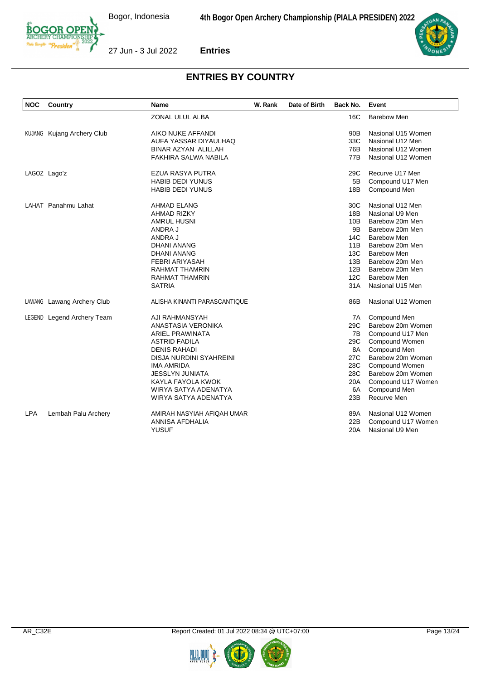



| <b>NOC</b> | Country                           | Name                         | W. Rank | Date of Birth | Back No. | Event              |
|------------|-----------------------------------|------------------------------|---------|---------------|----------|--------------------|
|            |                                   | ZONAL ULUL ALBA              |         |               | 16C      | <b>Barebow Men</b> |
|            | <b>KUJANG</b> Kujang Archery Club | AIKO NUKE AFFANDI            |         |               | 90B      | Nasional U15 Women |
|            |                                   | AUFA YASSAR DIYAULHAQ        |         |               | 33C      | Nasional U12 Men   |
|            |                                   | <b>BINAR AZYAN ALILLAH</b>   |         |               | 76B      | Nasional U12 Women |
|            |                                   | FAKHIRA SALWA NABILA         |         |               | 77B      | Nasional U12 Women |
|            | LAGOZ Lago'z                      | EZUA RASYA PUTRA             |         |               | 29C      | Recurve U17 Men    |
|            |                                   | <b>HABIB DEDI YUNUS</b>      |         |               | 5B       | Compound U17 Men   |
|            |                                   | <b>HABIB DEDI YUNUS</b>      |         |               | 18B      | Compound Men       |
|            | LAHAT Panahmu Lahat               | AHMAD ELANG                  |         |               | 30C      | Nasional U12 Men   |
|            |                                   | AHMAD RIZKY                  |         |               | 18B      | Nasional U9 Men    |
|            |                                   | <b>AMRUL HUSNI</b>           |         |               | 10B      | Barebow 20m Men    |
|            |                                   | ANDRA J                      |         |               | 9B       | Barebow 20m Men    |
|            |                                   | ANDRA J                      |         |               | 14C      | <b>Barebow Men</b> |
|            |                                   | <b>DHANI ANANG</b>           |         |               | 11B      | Barebow 20m Men    |
|            |                                   | DHANI ANANG                  |         |               | 13C      | <b>Barebow Men</b> |
|            |                                   | <b>FEBRI ARIYASAH</b>        |         |               | 13B      | Barebow 20m Men    |
|            |                                   | RAHMAT THAMRIN               |         |               | 12B      | Barebow 20m Men    |
|            |                                   | <b>RAHMAT THAMRIN</b>        |         |               | 12C      | Barebow Men        |
|            |                                   | <b>SATRIA</b>                |         |               | 31 A     | Nasional U15 Men   |
|            | LAWANG Lawang Archery Club        | ALISHA KINANTI PARASCANTIQUE |         |               | 86B      | Nasional U12 Women |
|            | LEGEND Legend Archery Team        | AJI RAHMANSYAH               |         |               | 7A       | Compound Men       |
|            |                                   | ANASTASIA VERONIKA           |         |               | 29C      | Barebow 20m Women  |
|            |                                   | ARIEL PRAWINATA              |         |               | 7B       | Compound U17 Men   |
|            |                                   | ASTRID FADILA                |         |               | 29C      | Compound Women     |
|            |                                   | <b>DENIS RAHADI</b>          |         |               | 8A       | Compound Men       |
|            |                                   | DISJA NURDINI SYAHREINI      |         |               | 27C      | Barebow 20m Women  |
|            |                                   | <b>IMA AMRIDA</b>            |         |               | 28C      | Compound Women     |
|            |                                   | JESSLYN JUNIATA              |         |               | 28C      | Barebow 20m Women  |
|            |                                   | KAYLA FAYOLA KWOK            |         |               | 20A      | Compound U17 Women |
|            |                                   | WIRYA SATYA ADENATYA         |         |               | 6A       | Compound Men       |
|            |                                   | WIRYA SATYA ADENATYA         |         |               | 23B      | Recurve Men        |
| <b>LPA</b> | Lembah Palu Archery               | AMIRAH NASYIAH AFIQAH UMAR   |         |               | 89A      | Nasional U12 Women |
|            |                                   | ANNISA AFDHALIA              |         |               | 22B      | Compound U17 Women |
|            |                                   | <b>YUSUF</b>                 |         |               | 20A      | Nasional U9 Men    |

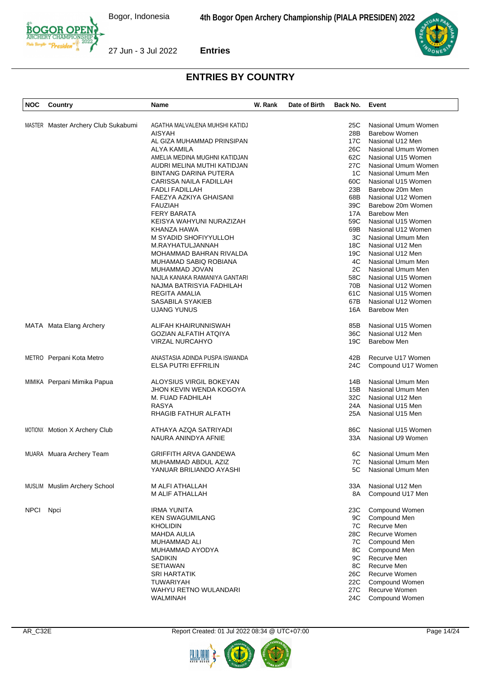

| <b>NOC</b>  | Country                             | Name                           | W. Rank | Date of Birth | Back No. | Event                |
|-------------|-------------------------------------|--------------------------------|---------|---------------|----------|----------------------|
|             |                                     |                                |         |               |          |                      |
|             | MASTER Master Archery Club Sukabumi | AGATHA MALVALENA MUHSHI KATIDJ |         |               | 25C      | Nasional Umum Women  |
|             |                                     | AISYAH                         |         |               | 28B      | <b>Barebow Women</b> |
|             |                                     | AL GIZA MUHAMMAD PRINSIPAN     |         |               | 17C      | Nasional U12 Men     |
|             |                                     | ALYA KAMILA                    |         |               | 26C      | Nasional Umum Women  |
|             |                                     | AMELIA MEDINA MUGHNI KATIDJAN  |         |               | 62C      | Nasional U15 Women   |
|             |                                     | AUDRI MELINA MUTHI KATIDJAN    |         |               | 27C      | Nasional Umum Women  |
|             |                                     | <b>BINTANG DARINA PUTERA</b>   |         |               | 1C       | Nasional Umum Men    |
|             |                                     | CARISSA NAILA FADILLAH         |         |               | 60C      | Nasional U15 Women   |
|             |                                     | <b>FADLI FADILLAH</b>          |         |               | 23B      | Barebow 20m Men      |
|             |                                     | FAEZYA AZKIYA GHAISANI         |         |               | 68B      | Nasional U12 Women   |
|             |                                     | <b>FAUZIAH</b>                 |         |               | 39C      | Barebow 20m Women    |
|             |                                     | <b>FERY BARATA</b>             |         |               | 17A      | Barebow Men          |
|             |                                     | KEISYA WAHYUNI NURAZIZAH       |         |               | 59C      | Nasional U15 Women   |
|             |                                     | KHANZA HAWA                    |         |               | 69B      | Nasional U12 Women   |
|             |                                     | M SYADID SHOFIYYULLOH          |         |               | ЗC       | Nasional Umum Men    |
|             |                                     |                                |         |               | 18C      |                      |
|             |                                     | M.RAYHATULJANNAH               |         |               |          | Nasional U12 Men     |
|             |                                     | MOHAMMAD BAHRAN RIVALDA        |         |               | 19C      | Nasional U12 Men     |
|             |                                     | MUHAMAD SABIQ ROBIANA          |         |               | 4C       | Nasional Umum Men    |
|             |                                     | MUHAMMAD JOVAN                 |         |               | 2C       | Nasional Umum Men    |
|             |                                     | NAJLA KANAKA RAMANIYA GANTARI  |         |               | 58C      | Nasional U15 Women   |
|             |                                     | NAJMA BATRISYIA FADHILAH       |         |               | 70B      | Nasional U12 Women   |
|             |                                     | <b>REGITA AMALIA</b>           |         |               | 61C      | Nasional U15 Women   |
|             |                                     | SASABILA SYAKIEB               |         |               | 67B      | Nasional U12 Women   |
|             |                                     | UJANG YUNUS                    |         |               | 16A      | Barebow Men          |
|             | MATA Mata Elang Archery             | ALIFAH KHAIRUNNISWAH           |         |               | 85B      | Nasional U15 Women   |
|             |                                     | <b>GOZIAN ALFATIH ATQIYA</b>   |         |               | 36C      | Nasional U12 Men     |
|             |                                     | VIRZAL NURCAHYO                |         |               | 19C      | Barebow Men          |
|             |                                     |                                |         |               |          | Recurve U17 Women    |
|             | METRO Perpani Kota Metro            | ANASTASIA ADINDA PUSPA ISWANDA |         |               | 42B      |                      |
|             |                                     | <b>ELSA PUTRI EFFRILIN</b>     |         |               | 24C      | Compound U17 Women   |
|             | MIMIKA Perpani Mimika Papua         | ALOYSIUS VIRGIL BOKEYAN        |         |               | 14B      | Nasional Umum Men    |
|             |                                     | JHON KEVIN WENDA KOGOYA        |         |               | 15B      | Nasional Umum Men    |
|             |                                     | M. FUAD FADHILAH               |         |               | 32C      | Nasional U12 Men     |
|             |                                     | <b>RASYA</b>                   |         |               | 24A      | Nasional U15 Men     |
|             |                                     | RHAGIB FATHUR ALFATH           |         |               | 25A      | Nasional U15 Men     |
|             | MOTIONX Motion X Archery Club       | ATHAYA AZQA SATRIYADI          |         |               | 86C      | Nasional U15 Women   |
|             |                                     | NAURA ANINDYA AFNIE            |         |               | 33A      | Nasional U9 Women    |
|             |                                     |                                |         |               |          |                      |
|             | MUARA Muara Archery Team            | <b>GRIFFITH ARVA GANDEWA</b>   |         |               | 6C       | Nasional Umum Men    |
|             |                                     | MUHAMMAD ABDUL AZIZ            |         |               | 7C       | Nasional Umum Men    |
|             |                                     | YANUAR BRILIANDO AYASHI        |         |               | 5C       | Nasional Umum Men    |
|             | MUSLIM Muslim Archery School        | M ALFI ATHALLAH                |         |               | 33A      | Nasional U12 Men     |
|             |                                     | M ALIF ATHALLAH                |         |               | 8A       | Compound U17 Men     |
| <b>NPCI</b> | Npci                                | <b>IRMA YUNITA</b>             |         |               | 23C      | Compound Women       |
|             |                                     | <b>KEN SWAGUMILANG</b>         |         |               | 9C       | Compound Men         |
|             |                                     | <b>KHOLIDIN</b>                |         |               | 7C       | Recurve Men          |
|             |                                     | <b>MAHDA AULIA</b>             |         |               | 28C      | Recurve Women        |
|             |                                     | MUHAMMAD ALI                   |         |               | 7C       | Compound Men         |
|             |                                     | MUHAMMAD AYODYA                |         |               | 8C       | Compound Men         |
|             |                                     | <b>SADIKIN</b>                 |         |               | 9C       | Recurve Men          |
|             |                                     | SETIAWAN                       |         |               | 8C       | Recurve Men          |
|             |                                     | <b>SRI HARTATIK</b>            |         |               | 26C      | Recurve Women        |
|             |                                     | <b>TUWARIYAH</b>               |         |               | 22C      | Compound Women       |
|             |                                     |                                |         |               |          | Recurve Women        |
|             |                                     | WAHYU RETNO WULANDARI          |         |               | 27C      |                      |
|             |                                     | WALMINAH                       |         |               | 24C      | Compound Women       |



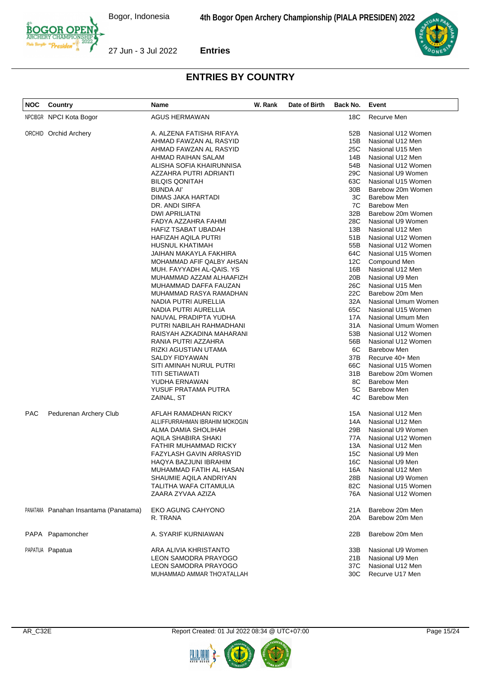Bogor, Indonesia



**Entries**



| Recurve Men<br>NPCIBGR NPCI Kota Bogor<br>AGUS HERMAWAN<br>18C<br>ORCHID Orchid Archery<br>A. ALZENA FATISHA RIFAYA<br>52B<br>Nasional U12 Women<br>15B<br>AHMAD FAWZAN AL RASYID<br>Nasional U12 Men<br>25C<br>AHMAD FAWZAN AL RASYID<br>Nasional U15 Men<br>AHMAD RAIHAN SALAM<br>14B<br>Nasional U12 Men |  |
|-------------------------------------------------------------------------------------------------------------------------------------------------------------------------------------------------------------------------------------------------------------------------------------------------------------|--|
|                                                                                                                                                                                                                                                                                                             |  |
|                                                                                                                                                                                                                                                                                                             |  |
|                                                                                                                                                                                                                                                                                                             |  |
|                                                                                                                                                                                                                                                                                                             |  |
|                                                                                                                                                                                                                                                                                                             |  |
| ALISHA SOFIA KHAIRUNNISA<br>54B<br>Nasional U12 Women                                                                                                                                                                                                                                                       |  |
| 29C<br>AZZAHRA PUTRI ADRIANTI<br>Nasional U9 Women                                                                                                                                                                                                                                                          |  |
| 63C<br>Nasional U15 Women<br><b>BILQIS QONITAH</b>                                                                                                                                                                                                                                                          |  |
| <b>BUNDA AI'</b><br>Barebow 20m Women<br>30B                                                                                                                                                                                                                                                                |  |
| <b>Barebow Men</b><br>DIMAS JAKA HARTADI<br>ЗC                                                                                                                                                                                                                                                              |  |
| 7C<br><b>Barebow Men</b><br>DR. ANDI SIRFA                                                                                                                                                                                                                                                                  |  |
| 32B<br>Barebow 20m Women<br>DWI APRILIATNI                                                                                                                                                                                                                                                                  |  |
| 28C<br>Nasional U9 Women<br>FADYA AZZAHRA FAHMI                                                                                                                                                                                                                                                             |  |
| 13B<br>Nasional U12 Men<br>HAFIZ TSABAT UBADAH                                                                                                                                                                                                                                                              |  |
| HAFIZAH AQILA PUTRI<br>51B<br>Nasional U12 Women                                                                                                                                                                                                                                                            |  |
| <b>HUSNUL KHATIMAH</b><br>55B<br>Nasional U12 Women                                                                                                                                                                                                                                                         |  |
| 64C<br>Nasional U15 Women<br>JAIHAN MAKAYLA FAKHIRA                                                                                                                                                                                                                                                         |  |
| MOHAMMAD AFIF QALBY AHSAN<br>12C<br>Compound Men                                                                                                                                                                                                                                                            |  |
| MUH. FAYYADH AL-QAIS. YS<br>16B<br>Nasional U12 Men                                                                                                                                                                                                                                                         |  |
| 20 <sub>B</sub><br>Nasional U9 Men<br>MUHAMMAD AZZAM ALHAAFIZH                                                                                                                                                                                                                                              |  |
| 26C<br>MUHAMMAD DAFFA FAUZAN<br>Nasional U15 Men                                                                                                                                                                                                                                                            |  |
| MUHAMMAD RASYA RAMADHAN<br>22C<br>Barebow 20m Men                                                                                                                                                                                                                                                           |  |
| 32A<br>Nasional Umum Women<br>NADIA PUTRI AURELLIA                                                                                                                                                                                                                                                          |  |
| 65C<br>Nasional U15 Women<br>NADIA PUTRI AURELLIA                                                                                                                                                                                                                                                           |  |
| Nasional Umum Men<br>NAUVAL PRADIPTA YUDHA<br>17A                                                                                                                                                                                                                                                           |  |
| Nasional Umum Women<br>PUTRI NABILAH RAHMADHANI<br>31 A                                                                                                                                                                                                                                                     |  |
| RAISYAH AZKADINA MAHARANI<br>53B<br>Nasional U12 Women                                                                                                                                                                                                                                                      |  |
| RANIA PUTRI AZZAHRA<br>56B<br>Nasional U12 Women                                                                                                                                                                                                                                                            |  |
| 6C<br><b>Barebow Men</b><br>RIZKI AGUSTIAN UTAMA                                                                                                                                                                                                                                                            |  |
| 37B<br>Recurve 40+ Men<br>SALDY FIDYAWAN                                                                                                                                                                                                                                                                    |  |
| 66C<br>Nasional U15 Women<br>SITI AMINAH NURUL PUTRI                                                                                                                                                                                                                                                        |  |
| <b>TITI SETIAWATI</b><br>31B<br>Barebow 20m Women                                                                                                                                                                                                                                                           |  |
| YUDHA ERNAWAN<br>8C<br><b>Barebow Men</b>                                                                                                                                                                                                                                                                   |  |
| 5C<br><b>Barebow Men</b><br>YUSUF PRATAMA PUTRA                                                                                                                                                                                                                                                             |  |
| 4C<br><b>Barebow Men</b><br>ZAINAL, ST                                                                                                                                                                                                                                                                      |  |
| <b>PAC</b><br>Pedurenan Archery Club<br>AFLAH RAMADHAN RICKY<br>15A<br>Nasional U12 Men                                                                                                                                                                                                                     |  |
| ALLIFFURRAHMAN IBRAHIM MOKOGIN<br>14A<br>Nasional U12 Men                                                                                                                                                                                                                                                   |  |
| ALMA DAMIA SHOLIHAH<br>29B<br>Nasional U9 Women                                                                                                                                                                                                                                                             |  |
| AQILA SHABIRA SHAKI<br>77A<br>Nasional U12 Women                                                                                                                                                                                                                                                            |  |
| FATHIR MUHAMMAD RICKY<br>13A<br>Nasional U12 Men                                                                                                                                                                                                                                                            |  |
| 15C<br>FAZYLASH GAVIN ARRASYID<br>Nasional U9 Men                                                                                                                                                                                                                                                           |  |
| 16C<br>Nasional U9 Men<br>HAQYA BAZJUNI IBRAHIM                                                                                                                                                                                                                                                             |  |
| MUHAMMAD FATIH AL HASAN<br>16A<br>Nasional U12 Men                                                                                                                                                                                                                                                          |  |
| SHAUMIE AQILA ANDRIYAN<br>28B<br>Nasional U9 Women                                                                                                                                                                                                                                                          |  |
| TALITHA WAFA CITAMULIA<br>82C<br>Nasional U15 Women                                                                                                                                                                                                                                                         |  |
| ZAARA ZYVAA AZIZA<br>Nasional U12 Women<br>76A                                                                                                                                                                                                                                                              |  |
| Barebow 20m Men<br>PANATAMA Panahan Insantama (Panatama)<br><b>EKO AGUNG CAHYONO</b><br>21A                                                                                                                                                                                                                 |  |
| Barebow 20m Men<br>R. TRANA<br>20A                                                                                                                                                                                                                                                                          |  |
| Barebow 20m Men<br>PAPA Papamoncher<br>A. SYARIF KURNIAWAN<br>22B                                                                                                                                                                                                                                           |  |
| PAPATUA Papatua<br>ARA ALIVIA KHRISTANTO<br>33B<br>Nasional U9 Women                                                                                                                                                                                                                                        |  |
| LEON SAMODRA PRAYOGO<br>21B<br>Nasional U9 Men                                                                                                                                                                                                                                                              |  |
| LEON SAMODRA PRAYOGO<br>37C<br>Nasional U12 Men                                                                                                                                                                                                                                                             |  |
| Recurve U17 Men<br>MUHAMMAD AMMAR THO'ATALLAH<br>30C                                                                                                                                                                                                                                                        |  |



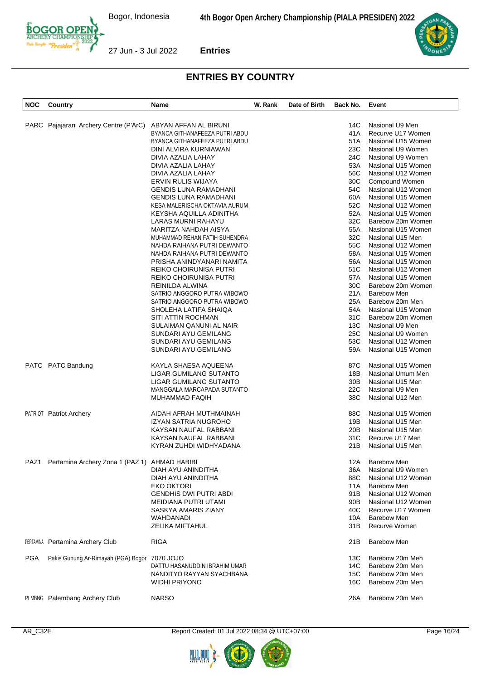

| <b>NOC</b> | Country                                       | Name                           | W. Rank | Date of Birth | Back No.        | Event                |
|------------|-----------------------------------------------|--------------------------------|---------|---------------|-----------------|----------------------|
|            |                                               |                                |         |               |                 |                      |
|            | PARC Pajajaran Archery Centre (P'ArC)         | ABYAN AFFAN AL BIRUNI          |         |               | 14C             | Nasional U9 Men      |
|            |                                               | BYANCA GITHANAFEEZA PUTRI ABDU |         |               | 41A             | Recurve U17 Women    |
|            |                                               | BYANCA GITHANAFEEZA PUTRI ABDU |         |               | 51A             | Nasional U15 Women   |
|            |                                               | DINI ALVIRA KURNIAWAN          |         |               | 23C             | Nasional U9 Women    |
|            |                                               | DIVIA AZALIA LAHAY             |         |               | 24C             | Nasional U9 Women    |
|            |                                               | DIVIA AZALIA LAHAY             |         |               | 53A             | Nasional U15 Women   |
|            |                                               |                                |         |               |                 |                      |
|            |                                               | DIVIA AZALIA LAHAY             |         |               | 56C             | Nasional U12 Women   |
|            |                                               | ERVIN RULIS WIJAYA             |         |               | 30C             | Compound Women       |
|            |                                               | <b>GENDIS LUNA RAMADHANI</b>   |         |               | 54C             | Nasional U12 Women   |
|            |                                               | <b>GENDIS LUNA RAMADHANI</b>   |         |               | 60A             | Nasional U15 Women   |
|            |                                               | KESA MALERISCHA OKTAVIA AURUM  |         |               | 52C             | Nasional U12 Women   |
|            |                                               | KEYSHA AQUILLA ADINITHA        |         |               | 52A             | Nasional U15 Women   |
|            |                                               | LARAS MURNI RAHAYU             |         |               | 32C             | Barebow 20m Women    |
|            |                                               | MARITZA NAHDAH AISYA           |         |               | 55A             | Nasional U15 Women   |
|            |                                               | MUHAMMAD REHAN FATIH SUHENDRA  |         |               | 32C             | Nasional U15 Men     |
|            |                                               | NAHDA RAIHANA PUTRI DEWANTO    |         |               | 55C             | Nasional U12 Women   |
|            |                                               | NAHDA RAIHANA PUTRI DEWANTO    |         |               | 58A             | Nasional U15 Women   |
|            |                                               | PRISHA ANINDYANARI NAMITA      |         |               | 56A             | Nasional U15 Women   |
|            |                                               | REIKO CHOIRUNISA PUTRI         |         |               | 51C             | Nasional U12 Women   |
|            |                                               |                                |         |               |                 |                      |
|            |                                               | REIKO CHOIRUNISA PUTRI         |         |               | 57A             | Nasional U15 Women   |
|            |                                               | REINILDA ALWINA                |         |               | 30C             | Barebow 20m Women    |
|            |                                               | SATRIO ANGGORO PUTRA WIBOWO    |         |               | 21A             | <b>Barebow Men</b>   |
|            |                                               | SATRIO ANGGORO PUTRA WIBOWO    |         |               | 25A             | Barebow 20m Men      |
|            |                                               | SHOLEHA LATIFA SHAIQA          |         |               | 54A             | Nasional U15 Women   |
|            |                                               | SITI ATTIN ROCHMAN             |         |               | 31C             | Barebow 20m Women    |
|            |                                               | SULAIMAN QANUNI AL NAIR        |         |               | 13C             | Nasional U9 Men      |
|            |                                               | SUNDARI AYU GEMILANG           |         |               | 25C             | Nasional U9 Women    |
|            |                                               | SUNDARI AYU GEMILANG           |         |               | 53C             | Nasional U12 Women   |
|            |                                               | SUNDARI AYU GEMILANG           |         |               | 59A             | Nasional U15 Women   |
|            |                                               |                                |         |               |                 |                      |
|            | PATC PATC Bandung                             | KAYLA SHAESA AQUEENA           |         |               | 87C             | Nasional U15 Women   |
|            |                                               | LIGAR GUMILANG SUTANTO         |         |               | 18B             | Nasional Umum Men    |
|            |                                               | LIGAR GUMILANG SUTANTO         |         |               | 30 <sub>B</sub> | Nasional U15 Men     |
|            |                                               | MANGGALA MARCAPADA SUTANTO     |         |               | 22C             | Nasional U9 Men      |
|            |                                               | <b>MUHAMMAD FAQIH</b>          |         |               | 38C             | Nasional U12 Men     |
|            |                                               |                                |         |               |                 |                      |
|            | PATRIOT Patriot Archery                       | AIDAH AFRAH MUTHMAINAH         |         |               | 88C             | Nasional U15 Women   |
|            |                                               | IZYAN SATRIA NUGROHO           |         |               | 19B             | Nasional U15 Men     |
|            |                                               | KAYSAN NAUFAL RABBANI          |         |               | 20B             | Nasional U15 Men     |
|            |                                               | KAYSAN NAUFAL RABBANI          |         |               | 31C             | Recurve U17 Men      |
|            |                                               | KYRAN ZUHDI WIDHYADANA         |         |               | 21B             | Nasional U15 Men     |
|            |                                               |                                |         |               |                 |                      |
| PAZ1       | Pertamina Archery Zona 1 (PAZ 1) AHMAD HABIBI |                                |         |               |                 | 12A Barebow Men      |
|            |                                               | DIAH AYU ANINDITHA             |         |               | 36A             | Nasional U9 Women    |
|            |                                               | DIAH AYU ANINDITHA             |         |               | 88C             | Nasional U12 Women   |
|            |                                               | <b>EKO OKTORI</b>              |         |               | 11A             | <b>Barebow Men</b>   |
|            |                                               | GENDHIS DWI PUTRI ABDI         |         |               | 91B             | Nasional U12 Women   |
|            |                                               | MEIDIANA PUTRI UTAMI           |         |               | 90B             | Nasional U12 Women   |
|            |                                               | SASKYA AMARIS ZIANY            |         |               | 40C             | Recurve U17 Women    |
|            |                                               | WAHDANADI                      |         |               | 10A             | <b>Barebow Men</b>   |
|            |                                               | <b>ZELIKA MIFTAHUL</b>         |         |               | 31B             | <b>Recurve Women</b> |
|            |                                               |                                |         |               |                 |                      |
|            | PERTAMINA Pertamina Archery Club              | <b>RIGA</b>                    |         |               | 21B             | <b>Barebow Men</b>   |
| <b>PGA</b> | Pakis Gunung Ar-Rimayah (PGA) Bogor           | 7070 JOJO                      |         |               | 13C             | Barebow 20m Men      |
|            |                                               | DATTU HASANUDDIN IBRAHIM UMAR  |         |               | 14C             | Barebow 20m Men      |
|            |                                               | NANDITYO RAYYAN SYACHBANA      |         |               | 15C             | Barebow 20m Men      |
|            |                                               | <b>WIDHI PRIYONO</b>           |         |               | 16C             | Barebow 20m Men      |
|            |                                               |                                |         |               |                 |                      |
|            | PLMBNG Palembang Archery Club                 | <b>NARSO</b>                   |         |               | 26A             | Barebow 20m Men      |



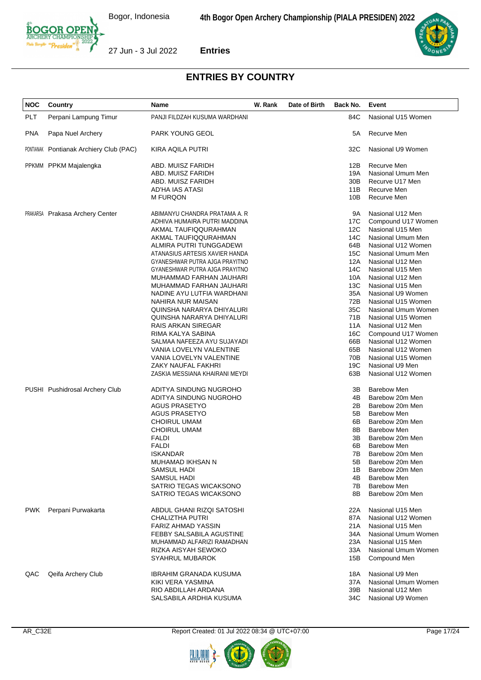Bogor, Indonesia



**Entries**



| NOC | Country                                 | Name                                                 | W. Rank | Date of Birth | Back No.        | Event                                    |
|-----|-----------------------------------------|------------------------------------------------------|---------|---------------|-----------------|------------------------------------------|
| PLT | Perpani Lampung Timur                   | PANJI FILDZAH KUSUMA WARDHANI                        |         |               | 84C             | Nasional U15 Women                       |
| PNA | Papa Nuel Archery                       | PARK YOUNG GEOL                                      |         |               | 5A              | Recurve Men                              |
|     | PONTIANAK Pontianak Archiery Club (PAC) | <b>KIRA AQILA PUTRI</b>                              |         |               | 32C             | Nasional U9 Women                        |
|     | PPKMM PPKM Majalengka                   | ABD. MUISZ FARIDH                                    |         |               | 12B             | Recurve Men                              |
|     |                                         | ABD. MUISZ FARIDH                                    |         |               | 19A             | Nasional Umum Men                        |
|     |                                         | ABD. MUISZ FARIDH                                    |         |               | 30 <sub>B</sub> | Recurve U17 Men                          |
|     |                                         | AD'HA IAS ATASI                                      |         |               | 11B             | Recurve Men                              |
|     |                                         | <b>M FURQON</b>                                      |         |               | 10B             | Recurve Men                              |
|     | <b>PRAKARSA</b> Prakasa Archery Center  | ABIMANYU CHANDRA PRATAMA A. R                        |         |               | 9A              | Nasional U12 Men                         |
|     |                                         | ADHIVA HUMAIRA PUTRI MADDINA                         |         |               | 17C             | Compound U17 Women                       |
|     |                                         | AKMAL TAUFIQQURAHMAN                                 |         |               | 12C             | Nasional U15 Men                         |
|     |                                         | AKMAL TAUFIQQURAHMAN                                 |         |               | 14C             | Nasional Umum Men                        |
|     |                                         | ALMIRA PUTRI TUNGGADEWI                              |         |               | 64B             | Nasional U12 Women                       |
|     |                                         | ATANASIUS ARTESIS XAVIER HANDA                       |         |               | 15C             | Nasional Umum Men                        |
|     |                                         | GYANESHWAR PUTRA AJGA PRAYITNO                       |         |               | 12A             | Nasional U12 Men                         |
|     |                                         | GYANESHWAR PUTRA AJGA PRAYITNO                       |         |               | 14C             | Nasional U15 Men                         |
|     |                                         | MUHAMMAD FARHAN JAUHARI                              |         |               | 10A             | Nasional U12 Men                         |
|     |                                         | MUHAMMAD FARHAN JAUHARI                              |         |               | 13C             | Nasional U15 Men                         |
|     |                                         | NADINE AYU LUTFIA WARDHANI                           |         |               | 35A             | Nasional U9 Women                        |
|     |                                         | NAHIRA NUR MAISAN                                    |         |               | 72B             | Nasional U15 Women                       |
|     |                                         | QUINSHA NARARYA DHIYALURI                            |         |               | 35C             | Nasional Umum Women                      |
|     |                                         | QUINSHA NARARYA DHIYALURI                            |         |               | 71B             | Nasional U15 Women                       |
|     |                                         | <b>RAIS ARKAN SIREGAR</b>                            |         |               | 11A             | Nasional U12 Men                         |
|     |                                         | RIMA KALYA SABINA                                    |         |               | 16C             | Compound U17 Women                       |
|     |                                         | SALMAA NAFEEZA AYU SUJAYADI                          |         |               | 66B             | Nasional U12 Women                       |
|     |                                         | VANIA LOVELYN VALENTINE                              |         |               | 65B             | Nasional U12 Women                       |
|     |                                         | VANIA LOVELYN VALENTINE                              |         |               | 70B             | Nasional U15 Women                       |
|     |                                         | ZAKY NAUFAL FAKHRI<br>ZASKIA MESSIANA KHAIRANI MEYDI |         |               | 19C<br>63B      | Nasional U9 Men<br>Nasional U12 Women    |
|     |                                         |                                                      |         |               |                 |                                          |
|     | PUSHI Pushidrosal Archery Club          | ADITYA SINDUNG NUGROHO                               |         |               | 3B              | <b>Barebow Men</b>                       |
|     |                                         | ADITYA SINDUNG NUGROHO                               |         |               | 4B              | Barebow 20m Men                          |
|     |                                         | <b>AGUS PRASETYO</b>                                 |         |               | 2B              | Barebow 20m Men                          |
|     |                                         | <b>AGUS PRASETYO</b>                                 |         |               | 5B              | <b>Barebow Men</b>                       |
|     |                                         | <b>CHOIRUL UMAM</b>                                  |         |               | 6B              | Barebow 20m Men                          |
|     |                                         | <b>CHOIRUL UMAM</b>                                  |         |               | 8B              | <b>Barebow Men</b>                       |
|     |                                         | <b>FALDI</b>                                         |         |               | 3B              | Barebow 20m Men                          |
|     |                                         | <b>FALDI</b>                                         |         |               | 6B              | <b>Barebow Men</b>                       |
|     |                                         | <b>ISKANDAR</b>                                      |         |               | 7B              | Barebow 20m Men                          |
|     |                                         | MUHAMAD IKHSAN N                                     |         |               | 5B              | Barebow 20m Men                          |
|     |                                         | SAMSUL HADI                                          |         |               | 1B              | Barebow 20m Men                          |
|     |                                         | SAMSUL HADI<br>SATRIO TEGAS WICAKSONO                |         |               | 4B<br>7B        | <b>Barebow Men</b><br><b>Barebow Men</b> |
|     |                                         | SATRIO TEGAS WICAKSONO                               |         |               | 8B              | Barebow 20m Men                          |
| PWK | Perpani Purwakarta                      | ABDUL GHANI RIZQI SATOSHI                            |         |               | 22A             | Nasional U15 Men                         |
|     |                                         | <b>CHALIZTHA PUTRI</b>                               |         |               | 87A             | Nasional U12 Women                       |
|     |                                         | <b>FARIZ AHMAD YASSIN</b>                            |         |               | 21A             | Nasional U15 Men                         |
|     |                                         | FEBBY SALSABILA AGUSTINE                             |         |               | 34A             | Nasional Umum Women                      |
|     |                                         | MUHAMMAD ALFARIZI RAMADHAN                           |         |               | 23A             | Nasional U15 Men                         |
|     |                                         | RIZKA AISYAH SEWOKO                                  |         |               | 33A             | Nasional Umum Women                      |
|     |                                         | <b>SYAHRUL MUBAROK</b>                               |         |               | 15B             | Compound Men                             |
| QAC | Qeifa Archery Club                      | IBRAHIM GRANADA KUSUMA                               |         |               | 18A             | Nasional U9 Men                          |
|     |                                         | KIKI VERA YASMINA                                    |         |               | 37A             | Nasional Umum Women                      |
|     |                                         | RIO ABDILLAH ARDANA                                  |         |               | 39B             | Nasional U12 Men                         |
|     |                                         | SALSABILA ARDHIA KUSUMA                              |         |               | 34C             | Nasional U9 Women                        |
|     |                                         |                                                      |         |               |                 |                                          |



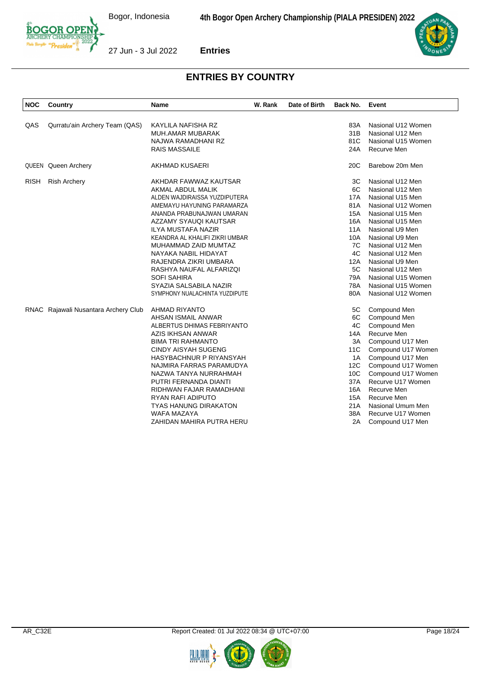



| <b>NOC</b>  | Country                              | <b>Name</b>                    | W. Rank | Date of Birth | Back No.        | Event                                  |
|-------------|--------------------------------------|--------------------------------|---------|---------------|-----------------|----------------------------------------|
|             |                                      |                                |         |               |                 |                                        |
| QAS         | Qurratu'ain Archery Team (QAS)       | KAYLILA NAFISHA RZ             |         |               | 83A<br>31B      | Nasional U12 Women<br>Nasional U12 Men |
|             |                                      | MUH.AMAR MUBARAK               |         |               | 81C             |                                        |
|             |                                      | NAJWA RAMADHANI RZ             |         |               |                 | Nasional U15 Women                     |
|             |                                      | RAIS MASSAILE                  |         |               | 24A             | Recurve Men                            |
|             | QUEEN Queen Archery                  | AKHMAD KUSAERI                 |         |               | 20 <sub>C</sub> | Barebow 20m Men                        |
| <b>RISH</b> | <b>Rish Archery</b>                  | AKHDAR FAWWAZ KAUTSAR          |         |               | ЗC              | Nasional U12 Men                       |
|             |                                      | AKMAL ABDUL MALIK              |         |               | 6C              | Nasional U12 Men                       |
|             |                                      | ALDEN WAJDIRAISSA YUZDIPUTERA  |         |               | 17A             | Nasional U15 Men                       |
|             |                                      | AMEMAYU HAYUNING PARAMARZA     |         |               | 81A             | Nasional U12 Women                     |
|             |                                      | ANANDA PRABUNAJWAN UMARAN      |         |               | <b>15A</b>      | Nasional U15 Men                       |
|             |                                      | AZZAMY SYAUQI KAUTSAR          |         |               | 16A             | Nasional U15 Men                       |
|             |                                      | <b>ILYA MUSTAFA NAZIR</b>      |         |               | 11A             | Nasional U9 Men                        |
|             |                                      | KEANDRA AL KHALIFI ZIKRI UMBAR |         |               | 10A             | Nasional U9 Men                        |
|             |                                      | MUHAMMAD ZAID MUMTAZ           |         |               | 7C              | Nasional U12 Men                       |
|             |                                      | NAYAKA NABIL HIDAYAT           |         |               | 4C              | Nasional U12 Men                       |
|             |                                      | RAJENDRA ZIKRI UMBARA          |         |               | 12A             | Nasional U9 Men                        |
|             |                                      | RASHYA NAUFAL ALFARIZQI        |         |               | 5C              | Nasional U12 Men                       |
|             |                                      | <b>SOFI SAHIRA</b>             |         |               | 79A             | Nasional U15 Women                     |
|             |                                      | SYAZIA SALSABILA NAZIR         |         |               | 78A             | Nasional U15 Women                     |
|             |                                      | SYMPHONY NUALACHINTA YUZDIPUTE |         |               | 80A             | Nasional U12 Women                     |
|             | RNAC Rajawali Nusantara Archery Club | AHMAD RIYANTO                  |         |               | 5C              | Compound Men                           |
|             |                                      | AHSAN ISMAIL ANWAR             |         |               | 6C              | Compound Men                           |
|             |                                      | ALBERTUS DHIMAS FEBRIYANTO     |         |               | 4C              | Compound Men                           |
|             |                                      | AZIS IKHSAN ANWAR              |         |               | 14A             | Recurve Men                            |
|             |                                      | <b>BIMA TRI RAHMANTO</b>       |         |               | 3A              | Compound U17 Men                       |
|             |                                      | <b>CINDY AISYAH SUGENG</b>     |         |               | 11C             | Compound U17 Women                     |
|             |                                      | HASYBACHNUR P RIYANSYAH        |         |               | 1A              | Compound U17 Men                       |
|             |                                      | NAJMIRA FARRAS PARAMUDYA       |         |               | 12C             | Compound U17 Women                     |
|             |                                      | NAZWA TANYA NURRAHMAH          |         |               | 10 <sup>C</sup> | Compound U17 Women                     |
|             |                                      | PUTRI FERNANDA DIANTI          |         |               | 37A             | Recurve U17 Women                      |
|             |                                      | RIDHWAN FAJAR RAMADHANI        |         |               | 16A             | Recurve Men                            |
|             |                                      | <b>RYAN RAFI ADIPUTO</b>       |         |               | 15A             | Recurve Men                            |
|             |                                      | <b>TYAS HANUNG DIRAKATON</b>   |         |               | 21A             | Nasional Umum Men                      |
|             |                                      | <b>WAFA MAZAYA</b>             |         |               | 38A             | Recurve U17 Women                      |
|             |                                      | ZAHIDAN MAHIRA PUTRA HERU      |         |               | 2A              | Compound U17 Men                       |



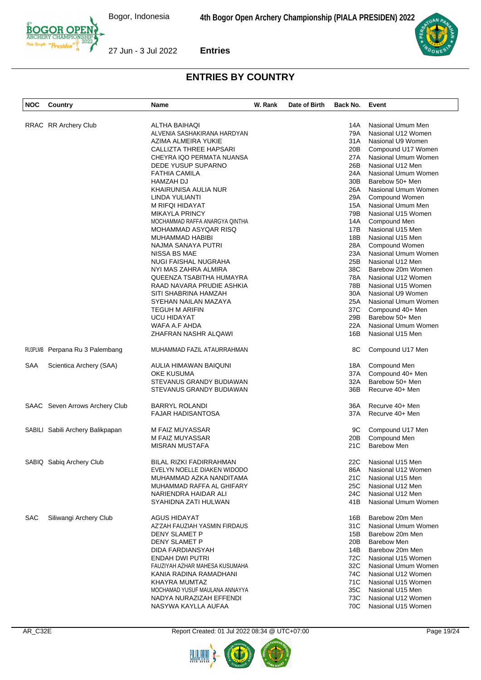

| <b>NOC</b> | Country                          | Name                           | W. Rank | Date of Birth | Back No.        | Event                |
|------------|----------------------------------|--------------------------------|---------|---------------|-----------------|----------------------|
|            |                                  |                                |         |               |                 |                      |
|            | RRAC RR Archery Club             | ALTHA BAIHAQI                  |         |               | 14A             | Nasional Umum Men    |
|            |                                  | ALVENIA SASHAKIRANA HARDYAN    |         |               | 79A             | Nasional U12 Women   |
|            |                                  | AZIMA ALMEIRA YUKIE            |         |               | 31A             | Nasional U9 Women    |
|            |                                  | <b>CALLIZTA THREE HAPSARI</b>  |         |               | 20B             | Compound U17 Women   |
|            |                                  |                                |         |               |                 |                      |
|            |                                  | CHEYRA IQO PERMATA NUANSA      |         |               | 27A             | Nasional Umum Women  |
|            |                                  | DEDE YUSUP SUPARNO             |         |               | 26B             | Nasional U12 Men     |
|            |                                  | <b>FATHIA CAMILA</b>           |         |               | 24A             | Nasional Umum Women  |
|            |                                  | HAMZAH DJ                      |         |               | 30 <sub>B</sub> | Barebow 50+ Men      |
|            |                                  | KHAIRUNISA AULIA NUR           |         |               | 26A             | Nasional Umum Women  |
|            |                                  | LINDA YULIANTI                 |         |               | 29A             | Compound Women       |
|            |                                  | M RIFQI HIDAYAT                |         |               | 15A             | Nasional Umum Men    |
|            |                                  | <b>MIKAYLA PRINCY</b>          |         |               | 79B             | Nasional U15 Women   |
|            |                                  | MOCHAMMAD RAFFA ANARGYA QINTHA |         |               | 14A             | Compound Men         |
|            |                                  | MOHAMMAD ASYQAR RISQ           |         |               | 17B             | Nasional U15 Men     |
|            |                                  |                                |         |               |                 |                      |
|            |                                  | MUHAMMAD HABIBI                |         |               | 18B             | Nasional U15 Men     |
|            |                                  | NAJMA SANAYA PUTRI             |         |               | 28A             | Compound Women       |
|            |                                  | NISSA BS MAE                   |         |               | 23A             | Nasional Umum Women  |
|            |                                  | <b>NUGI FAISHAL NUGRAHA</b>    |         |               | 25B             | Nasional U12 Men     |
|            |                                  | NYI MAS ZAHRA ALMIRA           |         |               | 38C             | Barebow 20m Women    |
|            |                                  | QUEENZA TSABITHA HUMAYRA       |         |               | 78A             | Nasional U12 Women   |
|            |                                  | RAAD NAVARA PRUDIE ASHKIA      |         |               | 78B             | Nasional U15 Women   |
|            |                                  | SITI SHABRINA HAMZAH           |         |               | 30A             | Nasional U9 Women    |
|            |                                  | SYEHAN NAILAN MAZAYA           |         |               | 25A             | Nasional Umum Women  |
|            |                                  | <b>TEGUH M ARIFIN</b>          |         |               | 37C             |                      |
|            |                                  |                                |         |               |                 | Compound 40+ Men     |
|            |                                  | <b>UCU HIDAYAT</b>             |         |               | 29B             | Barebow 50+ Men      |
|            |                                  | WAFA A.F AHDA                  |         |               | 22A             | Nasional Umum Women  |
|            |                                  | ZHAFRAN NASHR ALQAWI           |         |               | 16B             | Nasional U15 Men     |
|            | RU3PLMB Perpana Ru 3 Palembang   | MUHAMMAD FAZIL ATAURRAHMAN     |         |               | 8C              | Compound U17 Men     |
| SAA        | Scientica Archery (SAA)          | AULIA HIMAWAN BAIQUNI          |         |               | 18A             | Compound Men         |
|            |                                  | OKE KUSUMA                     |         |               | 37A             | Compound 40+ Men     |
|            |                                  | STEVANUS GRANDY BUDIAWAN       |         |               | 32A             | Barebow 50+ Men      |
|            |                                  |                                |         |               |                 |                      |
|            |                                  | STEVANUS GRANDY BUDIAWAN       |         |               | 36B             | Recurve 40+ Men      |
|            | SAAC Seven Arrows Archery Club   | <b>BARRYL ROLANDI</b>          |         |               | 36A             | Recurve 40+ Men      |
|            |                                  | <b>FAJAR HADISANTOSA</b>       |         |               | 37A             | Recurve 40+ Men      |
|            | SABILI Sabili Archery Balikpapan | M FAIZ MUYASSAR                |         |               | 9C              | Compound U17 Men     |
|            |                                  | M FAIZ MUYASSAR                |         |               | 20B             | Compound Men         |
|            |                                  | MISRAN MUSTAFA                 |         |               | 21C             | <b>Barebow Men</b>   |
|            |                                  |                                |         |               |                 |                      |
|            | SABIQ Sabiq Archery Club         | BILAL RIZKI FADIRRAHMAN        |         |               |                 | 22C Nasional U15 Men |
|            |                                  | EVELYN NOELLE DIAKEN WIDODO    |         |               | 86A             | Nasional U12 Women   |
|            |                                  | MUHAMMAD AZKA NANDITAMA        |         |               | 21C             | Nasional U15 Men     |
|            |                                  | MUHAMMAD RAFFA AL GHIFARY      |         |               | 25C             | Nasional U12 Men     |
|            |                                  |                                |         |               |                 |                      |
|            |                                  | NARIENDRA HAIDAR ALI           |         |               | 24C             | Nasional U12 Men     |
|            |                                  | SYAHIDNA ZATI HULWAN           |         |               | 41B             | Nasional Umum Women  |
| <b>SAC</b> | Siliwangi Archery Club           | AGUS HIDAYAT                   |         |               | 16B             | Barebow 20m Men      |
|            |                                  | AZ'ZAH FAUZIAH YASMIN FIRDAUS  |         |               | 31C             | Nasional Umum Women  |
|            |                                  | DENY SLAMET P                  |         |               | 15B             | Barebow 20m Men      |
|            |                                  | DENY SLAMET P                  |         |               | 20B             | Barebow Men          |
|            |                                  | DIDA FARDIANSYAH               |         |               | 14B             | Barebow 20m Men      |
|            |                                  |                                |         |               |                 |                      |
|            |                                  | ENDAH DWI PUTRI                |         |               | 72C             | Nasional U15 Women   |
|            |                                  | FAUZIYAH AZHAR MAHESA KUSUMAHA |         |               | 32C             | Nasional Umum Women  |
|            |                                  | KANIA RADINA RAMADHANI         |         |               | 74C             | Nasional U12 Women   |
|            |                                  | KHAYRA MUMTAZ                  |         |               | 71C             | Nasional U15 Women   |
|            |                                  | MOCHAMAD YUSUF MAULANA ANNAYYA |         |               | 35C             | Nasional U15 Men     |
|            |                                  | NADYA NURAZIZAH EFFENDI        |         |               | 73C             | Nasional U12 Women   |
|            |                                  | NASYWA KAYLLA AUFAA            |         |               | 70C             | Nasional U15 Women   |
|            |                                  |                                |         |               |                 |                      |



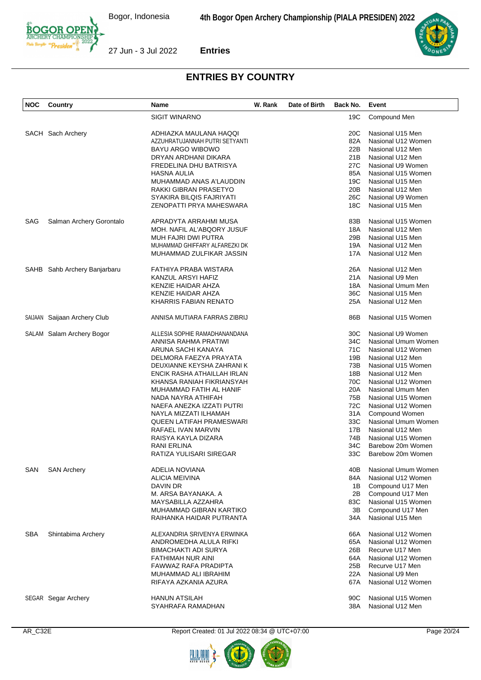



| NOC        | Country                      | Name                            | W. Rank | Date of Birth | Back No. | Event               |
|------------|------------------------------|---------------------------------|---------|---------------|----------|---------------------|
|            |                              | <b>SIGIT WINARNO</b>            |         |               | 19C      | Compound Men        |
|            | SACH Sach Archery            | ADHIAZKA MAULANA HAQQI          |         |               | 20C      | Nasional U15 Men    |
|            |                              | AZZUHRATUJANNAH PUTRI SETYANTI  |         |               | 82A      | Nasional U12 Women  |
|            |                              | <b>BAYU ARGO WIBOWO</b>         |         |               | 22B      | Nasional U12 Men    |
|            |                              | DRYAN ARDHANI DIKARA            |         |               | 21B      | Nasional U12 Men    |
|            |                              | FREDELINA DHU BATRISYA          |         |               | 27C      | Nasional U9 Women   |
|            |                              | HASNA AULIA                     |         |               | 85A      | Nasional U15 Women  |
|            |                              | MUHAMMAD ANAS A'LAUDDIN         |         |               | 19C      | Nasional U15 Men    |
|            |                              |                                 |         |               | 20B      | Nasional U12 Men    |
|            |                              | RAKKI GIBRAN PRASETYO           |         |               |          |                     |
|            |                              | SYAKIRA BILQIS FAJRIYATI        |         |               | 26C      | Nasional U9 Women   |
|            |                              | ZENOPATTI PRYA MAHESWARA        |         |               | 18C      | Nasional U15 Men    |
| SAG        | Salman Archery Gorontalo     | APRADYTA ARRAHMI MUSA           |         |               | 83B      | Nasional U15 Women  |
|            |                              | MOH. NAFIL AL'ABQORY JUSUF      |         |               | 18A      | Nasional U12 Men    |
|            |                              | MUH FAJRI DWI PUTRA             |         |               | 29B      | Nasional U15 Men    |
|            |                              | MUHAMMAD GHIFFARY ALFAREZKI DK  |         |               | 19A      | Nasional U12 Men    |
|            |                              | MUHAMMAD ZULFIKAR JASSIN        |         |               | 17A      | Nasional U12 Men    |
|            | SAHB Sahb Archery Banjarbaru | FATHIYA PRABA WISTARA           |         |               | 26A      | Nasional U12 Men    |
|            |                              | KANZUL ARSYI HAFIZ              |         |               | 21A      | Nasional U9 Men     |
|            |                              | KENZIE HAIDAR AHZA              |         |               | 18A      | Nasional Umum Men   |
|            |                              | KENZIE HAIDAR AHZA              |         |               | 36C      | Nasional U15 Men    |
|            |                              | KHARRIS FABIAN RENATO           |         |               | 25A      | Nasional U12 Men    |
|            | SAIJAAN Saijaan Archery Club | ANNISA MUTIARA FARRAS ZIBRIJ    |         |               | 86B      | Nasional U15 Women  |
|            | SALAM Salam Archery Bogor    | ALLESIA SOPHIE RAMADHANANDANA   |         |               | 30C      | Nasional U9 Women   |
|            |                              |                                 |         |               | 34C      | Nasional Umum Women |
|            |                              | ANNISA RAHMA PRATIWI            |         |               |          |                     |
|            |                              | ARUNA SACHI KANAYA              |         |               | 71C      | Nasional U12 Women  |
|            |                              | DELMORA FAEZYA PRAYATA          |         |               | 19B      | Nasional U12 Men    |
|            |                              | DEUXIANNE KEYSHA ZAHRANI K      |         |               | 73B      | Nasional U15 Women  |
|            |                              | ENCIK RASHA ATHAILLAH IRLAN     |         |               | 18B      | Nasional U12 Men    |
|            |                              | KHANSA RANIAH FIKRIANSYAH       |         |               | 70C      | Nasional U12 Women  |
|            |                              | MUHAMMAD FATIH AL HANIF         |         |               | 20A      | Nasional Umum Men   |
|            |                              | NADA NAYRA ATHIFAH              |         |               | 75B      | Nasional U15 Women  |
|            |                              | NAEFA ANEZKA IZZATI PUTRI       |         |               | 72C      | Nasional U12 Women  |
|            |                              | NAYLA MIZZATI ILHAMAH           |         |               | 31A      | Compound Women      |
|            |                              | <b>QUEEN LATIFAH PRAMESWARI</b> |         |               | 33C      | Nasional Umum Women |
|            |                              | RAFAEL IVAN MARVIN              |         |               | 17B      | Nasional U12 Men    |
|            |                              | RAISYA KAYLA DIZARA             |         |               | 74B      | Nasional U15 Women  |
|            |                              | RANI ERLINA                     |         |               | 34C      | Barebow 20m Women   |
|            |                              | RATIZA YULISARI SIREGAR         |         |               | 33C      | Barebow 20m Women   |
| SAN        | <b>SAN Archery</b>           | ADELIA NOVIANA                  |         |               | 40B      | Nasional Umum Women |
|            |                              | ALICIA MEIVINA                  |         |               | 84A      | Nasional U12 Women  |
|            |                              | DAVIN DR                        |         |               | 1B       | Compound U17 Men    |
|            |                              | M. ARSA BAYANAKA. A             |         |               | 2B       | Compound U17 Men    |
|            |                              | MAYSABILLA AZZAHRA              |         |               | 83C      | Nasional U15 Women  |
|            |                              | MUHAMMAD GIBRAN KARTIKO         |         |               | 3B       | Compound U17 Men    |
|            |                              | RAIHANKA HAIDAR PUTRANTA        |         |               | 34A      | Nasional U15 Men    |
| <b>SBA</b> | Shintabima Archery           | ALEXANDRIA SRIVENYA ERWINKA     |         |               | 66A      | Nasional U12 Women  |
|            |                              | ANDROMEDHA ALULA RIFKI          |         |               | 65A      | Nasional U12 Women  |
|            |                              | <b>BIMACHAKTI ADI SURYA</b>     |         |               | 26B      | Recurve U17 Men     |
|            |                              | FATHIMAH NUR AINI               |         |               | 64A      | Nasional U12 Women  |
|            |                              | FAWWAZ RAFA PRADIPTA            |         |               | 25B      | Recurve U17 Men     |
|            |                              | MUHAMMAD ALI IBRAHIM            |         |               | 22A      | Nasional U9 Men     |
|            |                              | RIFAYA AZKANIA AZURA            |         |               | 67A      | Nasional U12 Women  |
|            |                              |                                 |         |               |          |                     |
|            | SEGAR Segar Archery          | <b>HANUN ATSILAH</b>            |         |               | 90C      | Nasional U15 Women  |
|            |                              | SYAHRAFA RAMADHAN               |         |               | 38A      | Nasional U12 Men    |



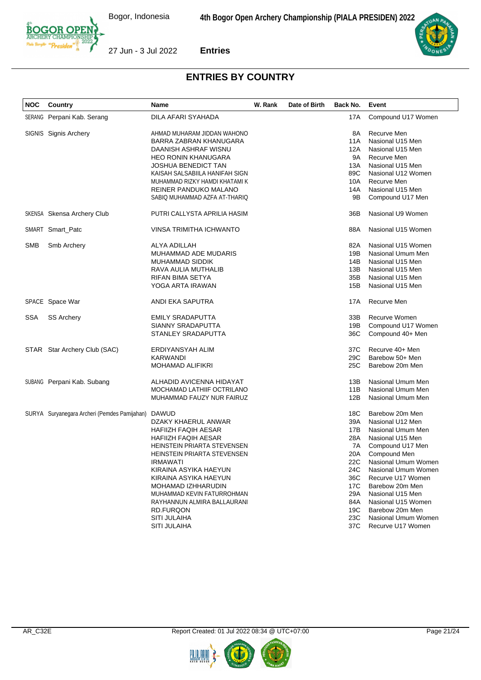



| <b>NOC</b> | Country                                      | <b>Name</b>                    | W. Rank | Date of Birth | Back No.        | Event               |
|------------|----------------------------------------------|--------------------------------|---------|---------------|-----------------|---------------------|
|            | SERANG Perpani Kab. Serang                   | DILA AFARI SYAHADA             |         |               | 17A             | Compound U17 Women  |
|            | SIGNIS Signis Archery                        | AHMAD MUHARAM JIDDAN WAHONO    |         |               | 8Α              | Recurve Men         |
|            |                                              | BARRA ZABRAN KHANUGARA         |         |               | 11A             | Nasional U15 Men    |
|            |                                              | DAANISH ASHRAF WISNU           |         |               | 12A             | Nasional U15 Men    |
|            |                                              | <b>HEO RONIN KHANUGARA</b>     |         |               | 9Α              | Recurve Men         |
|            |                                              | <b>JOSHUA BENEDICT TAN</b>     |         |               | 13A             | Nasional U15 Men    |
|            |                                              | KAISAH SALSABIILA HANIFAH SIGN |         |               | 89C             | Nasional U12 Women  |
|            |                                              | MUHAMMAD RIZKY HAMDI KHATAMI K |         |               | 10A             | Recurve Men         |
|            |                                              | REINER PANDUKO MALANO          |         |               | 14A             | Nasional U15 Men    |
|            |                                              | SABIQ MUHAMMAD AZFA AT-THARIQ  |         |               | 9Β              | Compound U17 Men    |
|            | <b>SKENSA</b> Skensa Archery Club            | PUTRI CALLYSTA APRILIA HASIM   |         |               | 36B             | Nasional U9 Women   |
|            | SMART Smart_Patc                             | <b>VINSA TRIMITHA ICHWANTO</b> |         |               | 88A             | Nasional U15 Women  |
| SMB        | Smb Archery                                  | ALYA ADILLAH                   |         |               | 82A             | Nasional U15 Women  |
|            |                                              | MUHAMMAD ADE MUDARIS           |         |               | 19B             | Nasional Umum Men   |
|            |                                              | <b>MUHAMMAD SIDDIK</b>         |         |               | 14B             | Nasional U15 Men    |
|            |                                              | RAVA AULIA MUTHALIB            |         |               | 13B             | Nasional U15 Men    |
|            |                                              | RIFAN BIMA SETYA               |         |               | 35B             | Nasional U15 Men    |
|            |                                              | YOGA ARTA IRAWAN               |         |               | 15B             | Nasional U15 Men    |
|            | SPACE Space War                              | ANDI EKA SAPUTRA               |         |               | 17A             | Recurve Men         |
| SSA        | <b>SS Archery</b>                            | EMILY SRADAPUTTA               |         |               | 33B             | Recurve Women       |
|            |                                              | SIANNY SRADAPUTTA              |         |               | 19B             | Compound U17 Women  |
|            |                                              | STANLEY SRADAPUTTA             |         |               | 36C             | Compound 40+ Men    |
|            | STAR Star Archery Club (SAC)                 | ERDIYANSYAH ALIM               |         |               | 37C             | Recurve 40+ Men     |
|            |                                              | KARWANDI                       |         |               | 29 <sub>C</sub> | Barebow 50+ Men     |
|            |                                              | <b>MOHAMAD ALIFIKRI</b>        |         |               | 25C             | Barebow 20m Men     |
|            | SUBANG Perpani Kab. Subang                   | ALHADID AVICENNA HIDAYAT       |         |               | 13B             | Nasional Umum Men   |
|            |                                              | MOCHAMAD LATHIIF OCTRILANO     |         |               | 11B             | Nasional Umum Men   |
|            |                                              | MUHAMMAD FAUZY NUR FAIRUZ      |         |               | 12B             | Nasional Umum Men   |
|            | SURYA Suryanegara Archeri (Pemdes Pamijahan) | <b>DAWUD</b>                   |         |               | 18C             | Barebow 20m Men     |
|            |                                              | DZAKY KHAERUL ANWAR            |         |               | 39A             | Nasional U12 Men    |
|            |                                              | HAFIIZH FAQIH AESAR            |         |               | 17B             | Nasional Umum Men   |
|            |                                              | HAFIIZH FAQIH AESAR            |         |               | 28A             | Nasional U15 Men    |
|            |                                              | HEINSTEIN PRIARTA STEVENSEN    |         |               | 7A              | Compound U17 Men    |
|            |                                              | HEINSTEIN PRIARTA STEVENSEN    |         |               | 20A             | Compound Men        |
|            |                                              | <b>IRMAWATI</b>                |         |               | 22C             | Nasional Umum Women |
|            |                                              | KIRAINA ASYIKA HAEYUN          |         |               | 24C             | Nasional Umum Women |
|            |                                              | KIRAINA ASYIKA HAEYUN          |         |               | 36C             | Recurve U17 Women   |
|            |                                              | MOHAMAD IZHHARUDIN             |         |               | 17C             | Barebow 20m Men     |
|            |                                              | MUHAMMAD KEVIN FATURROHMAN     |         |               | 29A             | Nasional U15 Men    |
|            |                                              | RAYHANNUN ALMIRA BALLAURANI    |         |               | 84A             | Nasional U15 Women  |
|            |                                              | RD.FURQON                      |         |               | 19C             | Barebow 20m Men     |
|            |                                              | <b>SITI JULAIHA</b>            |         |               | 23C             | Nasional Umum Women |
|            |                                              | <b>SITI JULAIHA</b>            |         |               | 37C             | Recurve U17 Women   |



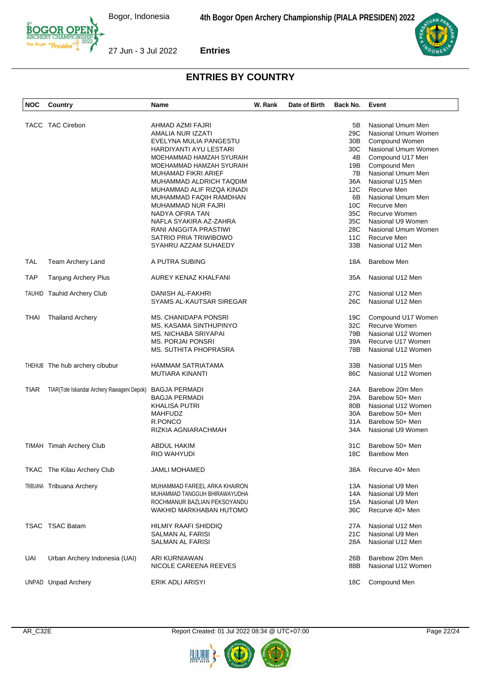



| <b>NOC</b>  | Country                                    | <b>Name</b>                                                     | W. Rank | Date of Birth | Back No.         | Event                                                             |
|-------------|--------------------------------------------|-----------------------------------------------------------------|---------|---------------|------------------|-------------------------------------------------------------------|
|             | TACC TAC Cirebon                           | AHMAD AZMI FAJRI<br>AMALIA NUR IZZATI<br>EVELYNA MULIA PANGESTU |         |               | 5B<br>29C<br>30B | Nasional Umum Men<br>Nasional Umum Women<br><b>Compound Women</b> |
|             |                                            | HARDIYANTI AYU LESTARI                                          |         |               | 30C              | Nasional Umum Women                                               |
|             |                                            | MOEHAMMAD HAMZAH SYURAIH                                        |         |               | 4B               | Compound U17 Men                                                  |
|             |                                            | MOEHAMMAD HAMZAH SYURAIH                                        |         |               | 19B              | Compound Men                                                      |
|             |                                            | MUHAMAD FIKRI ARIEF                                             |         |               | 7B               | Nasional Umum Men                                                 |
|             |                                            | MUHAMMAD ALDRICH TAQDIM                                         |         |               | 36A              | Nasional U15 Men                                                  |
|             |                                            | MUHAMMAD ALIF RIZQA KINADI                                      |         |               | 12C              | Recurve Men                                                       |
|             |                                            | MUHAMMAD FAQIH RAMDHAN                                          |         |               | 6B               | Nasional Umum Men                                                 |
|             |                                            | MUHAMMAD NUR FAJRI                                              |         |               | 10 <sup>C</sup>  | Recurve Men                                                       |
|             |                                            | NADYA OFIRA TAN                                                 |         |               | 35C              | Recurve Women                                                     |
|             |                                            | NAFLA SYAKIRA AZ-ZAHRA                                          |         |               | 35C              | Nasional U9 Women                                                 |
|             |                                            | RANI ANGGITA PRASTIWI                                           |         |               | 28C              | Nasional Umum Women                                               |
|             |                                            | SATRIO PRIA TRIWIBOWO                                           |         |               | 11C              | Recurve Men                                                       |
|             |                                            | SYAHRU AZZAM SUHAEDY                                            |         |               | 33B              | Nasional U12 Men                                                  |
| <b>TAL</b>  | Team Archery Land                          | A PUTRA SUBING                                                  |         |               | 18A              | <b>Barebow Men</b>                                                |
| <b>TAP</b>  | <b>Tanjung Archery Plus</b>                | AUREY KENAZ KHALFANI                                            |         |               | 35A              | Nasional U12 Men                                                  |
|             | <b>TAUHID Tauhid Archery Club</b>          | DANISH AL-FAKHRI                                                |         |               | 27C              | Nasional U12 Men                                                  |
|             |                                            | SYAMS AL-KAUTSAR SIREGAR                                        |         |               | 26C              | Nasional U12 Men                                                  |
|             |                                            |                                                                 |         |               |                  |                                                                   |
| THAI        | <b>Thailand Archery</b>                    | <b>MS. CHANIDAPA PONSRI</b>                                     |         |               | 19C              | Compound U17 Women                                                |
|             |                                            | MS. KASAMA SINTHUPINYO                                          |         |               | 32C              | <b>Recurve Women</b>                                              |
|             |                                            | MS. NICHABA SRIYAPAI                                            |         |               | 79B              | Nasional U12 Women                                                |
|             |                                            | <b>MS. PORJAI PONSRI</b>                                        |         |               | 39A              | Recurve U17 Women                                                 |
|             |                                            | MS. SUTHITA PHOPRASRA                                           |         |               | 78B              | Nasional U12 Women                                                |
|             | THEHUB The hub archery cibubur             | <b>HAMMAM SATRIATAMA</b>                                        |         |               | 33B              | Nasional U15 Men                                                  |
|             |                                            | MUTIARA KINANTI                                                 |         |               | 86C              | Nasional U12 Women                                                |
| <b>TIAR</b> | TIAR(Tole Iskandar Archery Rawageni Depok) | <b>BAGJA PERMADI</b>                                            |         |               | 24A              | Barebow 20m Men                                                   |
|             |                                            | BAGJA PERMADI                                                   |         |               | 29A              | Barebow 50+ Men                                                   |
|             |                                            | <b>KHALISA PUTRI</b>                                            |         |               | 80B              | Nasional U12 Women                                                |
|             |                                            | <b>MAHFUDZ</b>                                                  |         |               | 30A              | Barebow 50+ Men                                                   |
|             |                                            | R.PONCO                                                         |         |               | 31A              | Barebow 50+ Men                                                   |
|             |                                            | RIZKIA AGNIARACHMAH                                             |         |               | 34A              | Nasional U9 Women                                                 |
|             | TIMAH Timah Archery Club                   | <b>ABDUL HAKIM</b>                                              |         |               | 31C              | Barebow 50+ Men                                                   |
|             |                                            | RIO WAHYUDI                                                     |         |               | 18C              | <b>Barebow Men</b>                                                |
|             |                                            |                                                                 |         |               |                  |                                                                   |
|             | TKAC The Kilau Archery Club                | <b>JAMLI MOHAMED</b>                                            |         |               | 38A              | Recurve 40+ Men                                                   |
|             | TRIBUANA Tribuana Archery                  | MUHAMMAD FAREEL ARKA KHAIRON                                    |         |               | 13A              | Nasional U9 Men                                                   |
|             |                                            | MUHAMMAD TANGGUH BHIRAWAYUDHA                                   |         |               | 14A              | Nasional U9 Men                                                   |
|             |                                            | ROCHMANUR BAZLIAN PEKSOYANDU                                    |         |               | 15A              | Nasional U9 Men                                                   |
|             |                                            | WAKHID MARKHABAN HUTOMO                                         |         |               | 36C              | Recurve 40+ Men                                                   |
|             | TSAC TSAC Batam                            | HILMIY RAAFI SHIDDIQ                                            |         |               | 27A              | Nasional U12 Men                                                  |
|             |                                            | SALMAN AL FARISI                                                |         |               | 21C              | Nasional U9 Men                                                   |
|             |                                            | SALMAN AL FARISI                                                |         |               | 28A              | Nasional U12 Men                                                  |
| UAI         | Urban Archery Indonesia (UAI)              | ARI KURNIAWAN                                                   |         |               | 26B              | Barebow 20m Men                                                   |
|             |                                            | NICOLE CAREENA REEVES                                           |         |               | 88B              | Nasional U12 Women                                                |
|             |                                            |                                                                 |         |               |                  |                                                                   |
|             | <b>UNPAD</b> Unpad Archery                 | ERIK ADLI ARISYI                                                |         |               | 18C              | Compound Men                                                      |

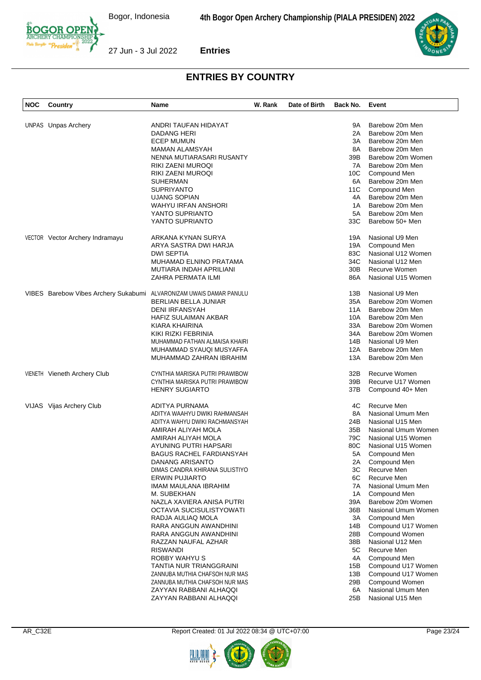

| <b>NOC</b> | Country                                                             | Name                           | W. Rank | Date of Birth | Back No. Event |                     |
|------------|---------------------------------------------------------------------|--------------------------------|---------|---------------|----------------|---------------------|
|            |                                                                     |                                |         |               |                |                     |
|            | <b>UNPAS</b> Unpas Archery                                          | ANDRI TAUFAN HIDAYAT           |         |               | 9A             | Barebow 20m Men     |
|            |                                                                     | DADANG HERI                    |         |               | 2A             | Barebow 20m Men     |
|            |                                                                     | <b>ECEP MUMUN</b>              |         |               | 3A             | Barebow 20m Men     |
|            |                                                                     | <b>MAMAN ALAMSYAH</b>          |         |               | 8A             | Barebow 20m Men     |
|            |                                                                     | NENNA MUTIARASARI RUSANTY      |         |               | 39B            | Barebow 20m Women   |
|            |                                                                     | RIKI ZAENI MUROQI              |         |               | 7A             | Barebow 20m Men     |
|            |                                                                     | RIKI ZAENI MUROQI              |         |               | 10C            | Compound Men        |
|            |                                                                     | SUHERMAN                       |         |               | 6A             | Barebow 20m Men     |
|            |                                                                     | <b>SUPRIYANTO</b>              |         |               | 11C            | Compound Men        |
|            |                                                                     | <b>UJANG SOPIAN</b>            |         |               | 4A             | Barebow 20m Men     |
|            |                                                                     | WAHYU IRFAN ANSHORI            |         |               | 1A             | Barebow 20m Men     |
|            |                                                                     | YANTO SUPRIANTO                |         |               | 5A             | Barebow 20m Men     |
|            |                                                                     | YANTO SUPRIANTO                |         |               | 33C            | Barebow 50+ Men     |
|            | VECTOR Vector Archery Indramayu                                     | ARKANA KYNAN SURYA             |         |               | 19A            | Nasional U9 Men     |
|            |                                                                     | ARYA SASTRA DWI HARJA          |         |               | 19A            | Compound Men        |
|            |                                                                     | <b>DWI SEPTIA</b>              |         |               | 83C            | Nasional U12 Women  |
|            |                                                                     | MUHAMAD ELNINO PRATAMA         |         |               | 34C            | Nasional U12 Men    |
|            |                                                                     | MUTIARA INDAH APRILIANI        |         |               | 30B            | Recurve Women       |
|            |                                                                     | ZAHRA PERMATA ILMI             |         |               | 86A            | Nasional U15 Women  |
|            |                                                                     |                                |         |               |                |                     |
|            | VIBES Barebow Vibes Archery Sukabumi ALVARONIZAM UWAIS DAMAR PANULU |                                |         |               | 13B            | Nasional U9 Men     |
|            |                                                                     | <b>BERLIAN BELLA JUNIAR</b>    |         |               | 35A            | Barebow 20m Women   |
|            |                                                                     | DENI IRFANSYAH                 |         |               | 11A            | Barebow 20m Men     |
|            |                                                                     | <b>HAFIZ SULAIMAN AKBAR</b>    |         |               | 10A            | Barebow 20m Men     |
|            |                                                                     | KIARA KHAIRINA                 |         |               | 33A            | Barebow 20m Women   |
|            |                                                                     | KIKI RIZKI FEBRINIA            |         |               | 34A            | Barebow 20m Women   |
|            |                                                                     | MUHAMMAD FATHAN ALMAISA KHAIRI |         |               | 14B            | Nasional U9 Men     |
|            |                                                                     | MUHAMMAD SYAUQI MUSYAFFA       |         |               | 12A            | Barebow 20m Men     |
|            |                                                                     | MUHAMMAD ZAHRAN IBRAHIM        |         |               | 13A            | Barebow 20m Men     |
|            | VIENETH Vieneth Archery Club                                        | CYNTHIA MARISKA PUTRI PRAWIBOW |         |               | 32B            | Recurve Women       |
|            |                                                                     | CYNTHIA MARISKA PUTRI PRAWIBOW |         |               | 39B            | Recurve U17 Women   |
|            |                                                                     | <b>HENRY SUGIARTO</b>          |         |               | 37B            | Compound 40+ Men    |
|            |                                                                     |                                |         |               |                |                     |
|            | VIJAS Vijas Archery Club                                            | ADITYA PURNAMA                 |         |               | 4C             | Recurve Men         |
|            |                                                                     | ADITYA WAAHYU DWIKI RAHMANSAH  |         |               | 8A             | Nasional Umum Men   |
|            |                                                                     | ADITYA WAHYU DWIKI RACHMANSYAH |         |               | 24B            | Nasional U15 Men    |
|            |                                                                     | AMIRAH ALIYAH MOLA             |         |               | 35B            | Nasional Umum Women |
|            |                                                                     | AMIRAH ALIYAH MOLA             |         |               | 79C            | Nasional U15 Women  |
|            |                                                                     | AYUNING PUTRI HAPSARI          |         |               | 80C            | Nasional U15 Women  |
|            |                                                                     | BAGUS RACHEL FARDIANSYAH       |         |               | 5A             | Compound Men        |
|            |                                                                     | DANANG ARISANTO                |         |               |                | 2A Compound Men     |
|            |                                                                     | DIMAS CANDRA KHIRANA SULISTIYO |         |               | ЗC             | Recurve Men         |
|            |                                                                     | ERWIN PUJIARTO                 |         |               | 6C             | Recurve Men         |
|            |                                                                     | IMAM MAULANA IBRAHIM           |         |               | 7A             | Nasional Umum Men   |
|            |                                                                     | M. SUBEKHAN                    |         |               | 1A             | Compound Men        |
|            |                                                                     | NAZLA XAVIERA ANISA PUTRI      |         |               | 39A            | Barebow 20m Women   |
|            |                                                                     | OCTAVIA SUCISULISTYOWATI       |         |               | 36B            | Nasional Umum Women |
|            |                                                                     | RADJA AULIAQ MOLA              |         |               | 3A             | Compound Men        |
|            |                                                                     | RARA ANGGUN AWANDHINI          |         |               | 14B            | Compound U17 Women  |
|            |                                                                     | RARA ANGGUN AWANDHINI          |         |               | 28B            | Compound Women      |
|            |                                                                     | RAZZAN NAUFAL AZHAR            |         |               | 38B            | Nasional U12 Men    |
|            |                                                                     | RISWANDI                       |         |               | 5C             | Recurve Men         |
|            |                                                                     | <b>ROBBY WAHYU S</b>           |         |               | 4A             | Compound Men        |
|            |                                                                     | TANTIA NUR TRIANGGRAINI        |         |               | 15B            | Compound U17 Women  |
|            |                                                                     | ZANNUBA MUTHIA CHAFSOH NUR MAS |         |               | 13B            | Compound U17 Women  |
|            |                                                                     | ZANNUBA MUTHIA CHAFSOH NUR MAS |         |               | 29B            | Compound Women      |
|            |                                                                     | ZAYYAN RABBANI ALHAQQI         |         |               | 6A             | Nasional Umum Men   |
|            |                                                                     | ZAYYAN RABBANI ALHAQQI         |         |               | 25B            | Nasional U15 Men    |
|            |                                                                     |                                |         |               |                |                     |